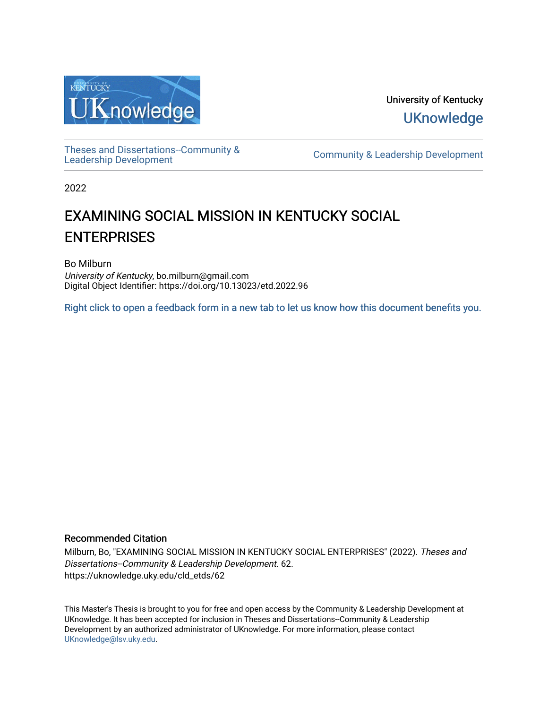

University of Kentucky **UKnowledge** 

[Theses and Dissertations--Community &](https://uknowledge.uky.edu/cld_etds)

[Leadership Development](https://uknowledge.uky.edu/cld_etds) [Community & Leadership Development](https://uknowledge.uky.edu/cld) 

2022

# EXAMINING SOCIAL MISSION IN KENTUCKY SOCIAL **ENTERPRISES**

Bo Milburn University of Kentucky, bo.milburn@gmail.com Digital Object Identifier: https://doi.org/10.13023/etd.2022.96

[Right click to open a feedback form in a new tab to let us know how this document benefits you.](https://uky.az1.qualtrics.com/jfe/form/SV_9mq8fx2GnONRfz7)

### Recommended Citation

Milburn, Bo, "EXAMINING SOCIAL MISSION IN KENTUCKY SOCIAL ENTERPRISES" (2022). Theses and Dissertations--Community & Leadership Development. 62. https://uknowledge.uky.edu/cld\_etds/62

This Master's Thesis is brought to you for free and open access by the Community & Leadership Development at UKnowledge. It has been accepted for inclusion in Theses and Dissertations--Community & Leadership Development by an authorized administrator of UKnowledge. For more information, please contact [UKnowledge@lsv.uky.edu.](mailto:UKnowledge@lsv.uky.edu)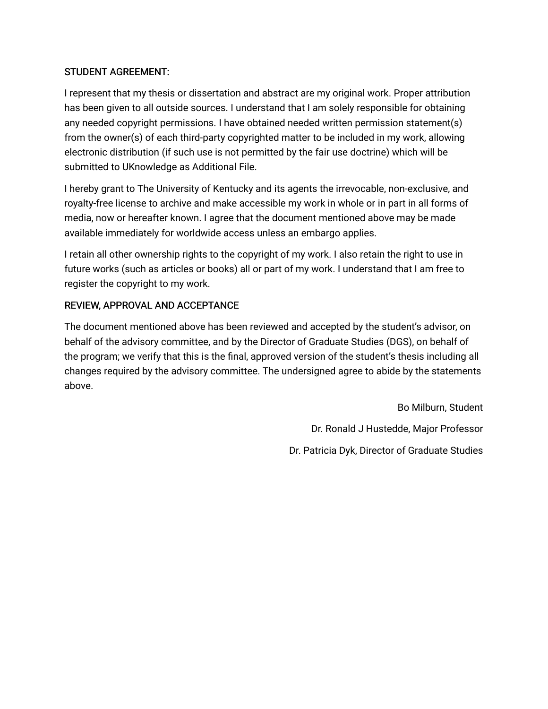### STUDENT AGREEMENT:

I represent that my thesis or dissertation and abstract are my original work. Proper attribution has been given to all outside sources. I understand that I am solely responsible for obtaining any needed copyright permissions. I have obtained needed written permission statement(s) from the owner(s) of each third-party copyrighted matter to be included in my work, allowing electronic distribution (if such use is not permitted by the fair use doctrine) which will be submitted to UKnowledge as Additional File.

I hereby grant to The University of Kentucky and its agents the irrevocable, non-exclusive, and royalty-free license to archive and make accessible my work in whole or in part in all forms of media, now or hereafter known. I agree that the document mentioned above may be made available immediately for worldwide access unless an embargo applies.

I retain all other ownership rights to the copyright of my work. I also retain the right to use in future works (such as articles or books) all or part of my work. I understand that I am free to register the copyright to my work.

### REVIEW, APPROVAL AND ACCEPTANCE

The document mentioned above has been reviewed and accepted by the student's advisor, on behalf of the advisory committee, and by the Director of Graduate Studies (DGS), on behalf of the program; we verify that this is the final, approved version of the student's thesis including all changes required by the advisory committee. The undersigned agree to abide by the statements above.

> Bo Milburn, Student Dr. Ronald J Hustedde, Major Professor Dr. Patricia Dyk, Director of Graduate Studies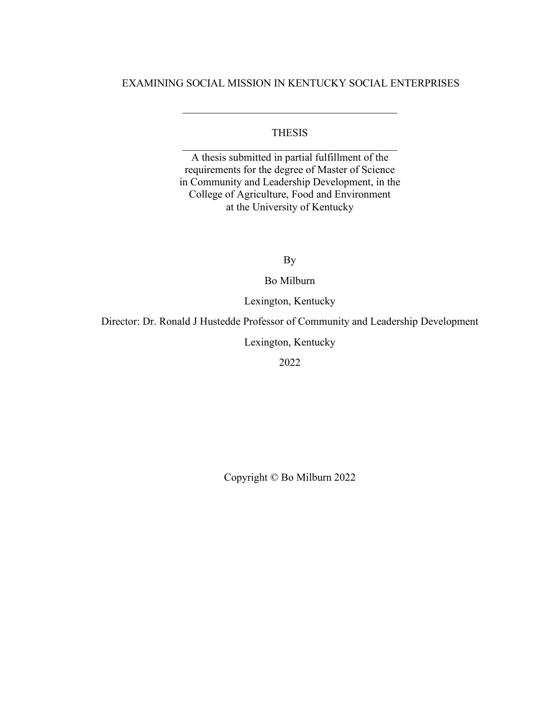### EXAMINING SOCIAL MISSION IN KENTUCKY SOCIAL ENTERPRISES

\_\_\_\_\_\_\_\_\_\_\_\_\_\_\_\_\_\_\_\_\_\_\_\_\_\_\_\_\_\_\_\_\_\_\_\_\_\_\_\_

### THESIS  $\mathcal{L}_\text{max}$  and  $\mathcal{L}_\text{max}$  and  $\mathcal{L}_\text{max}$  and  $\mathcal{L}_\text{max}$

A thesis submitted in partial fulfillment of the requirements for the degree of Master of Science in Community and Leadership Development, in the College of Agriculture, Food and Environment at the University of Kentucky

By

Bo Milburn

Lexington, Kentucky

Director: Dr. Ronald J Hustedde Professor of Community and Leadership Development

Lexington, Kentucky

2022

Copyright © Bo Milburn 2022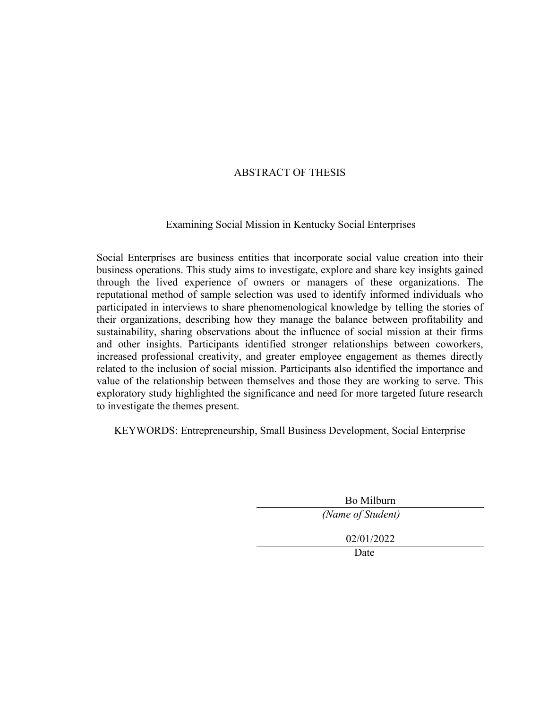### ABSTRACT OF THESIS

### Examining Social Mission in Kentucky Social Enterprises

Social Enterprises are business entities that incorporate social value creation into their business operations. This study aims to investigate, explore and share key insights gained through the lived experience of owners or managers of these organizations. The reputational method of sample selection was used to identify informed individuals who participated in interviews to share phenomenological knowledge by telling the stories of their organizations, describing how they manage the balance between profitability and sustainability, sharing observations about the influence of social mission at their firms and other insights. Participants identified stronger relationships between coworkers, increased professional creativity, and greater employee engagement as themes directly related to the inclusion of social mission. Participants also identified the importance and value of the relationship between themselves and those they are working to serve. This exploratory study highlighted the significance and need for more targeted future research to investigate the themes present.

KEYWORDS: Entrepreneurship, Small Business Development, Social Enterprise

Bo Milburn

*(Name of Student)* 

02/01/2022

Date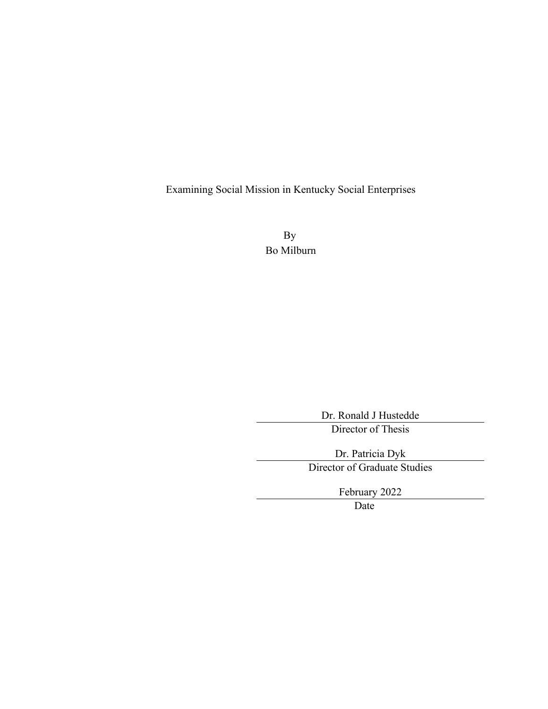Examining Social Mission in Kentucky Social Enterprises

By Bo Milburn

> Dr. Ronald J Hustedde Director of Thesis

Dr. Patricia Dyk Director of Graduate Studies

February 2022

Date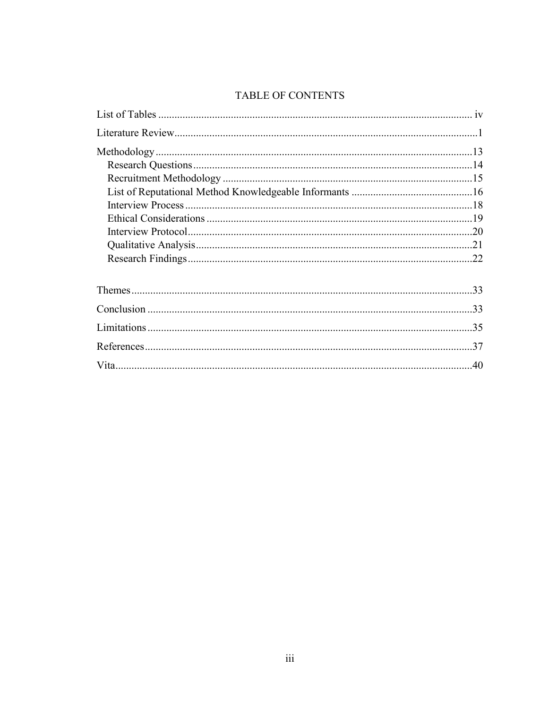## TABLE OF CONTENTS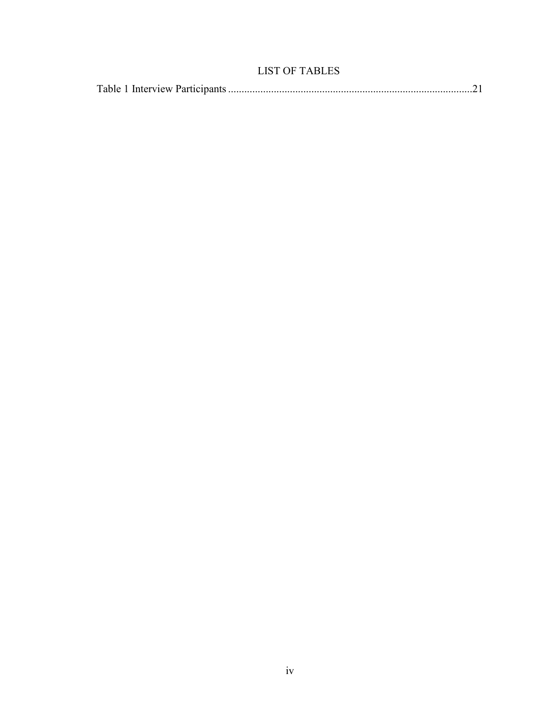### LIST OF TABLES

|--|--|--|--|--|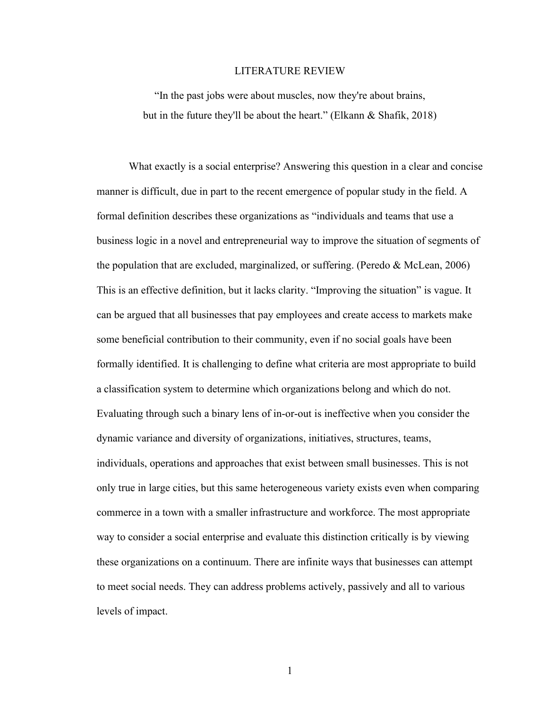#### LITERATURE REVIEW

"In the past jobs were about muscles, now they're about brains, but in the future they'll be about the heart." (Elkann & Shafik, 2018)

What exactly is a social enterprise? Answering this question in a clear and concise manner is difficult, due in part to the recent emergence of popular study in the field. A formal definition describes these organizations as "individuals and teams that use a business logic in a novel and entrepreneurial way to improve the situation of segments of the population that are excluded, marginalized, or suffering. (Peredo & McLean, 2006) This is an effective definition, but it lacks clarity. "Improving the situation" is vague. It can be argued that all businesses that pay employees and create access to markets make some beneficial contribution to their community, even if no social goals have been formally identified. It is challenging to define what criteria are most appropriate to build a classification system to determine which organizations belong and which do not. Evaluating through such a binary lens of in-or-out is ineffective when you consider the dynamic variance and diversity of organizations, initiatives, structures, teams, individuals, operations and approaches that exist between small businesses. This is not only true in large cities, but this same heterogeneous variety exists even when comparing commerce in a town with a smaller infrastructure and workforce. The most appropriate way to consider a social enterprise and evaluate this distinction critically is by viewing these organizations on a continuum. There are infinite ways that businesses can attempt to meet social needs. They can address problems actively, passively and all to various levels of impact.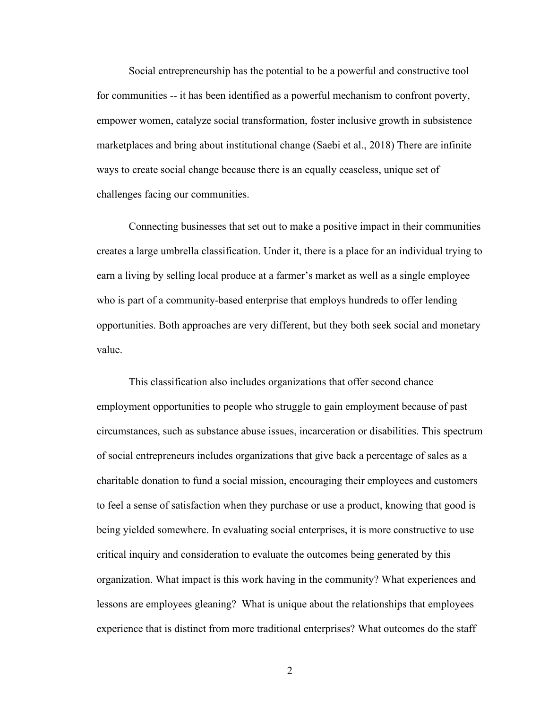Social entrepreneurship has the potential to be a powerful and constructive tool for communities -- it has been identified as a powerful mechanism to confront poverty, empower women, catalyze social transformation, foster inclusive growth in subsistence marketplaces and bring about institutional change (Saebi et al., 2018) There are infinite ways to create social change because there is an equally ceaseless, unique set of challenges facing our communities.

Connecting businesses that set out to make a positive impact in their communities creates a large umbrella classification. Under it, there is a place for an individual trying to earn a living by selling local produce at a farmer's market as well as a single employee who is part of a community-based enterprise that employs hundreds to offer lending opportunities. Both approaches are very different, but they both seek social and monetary value.

This classification also includes organizations that offer second chance employment opportunities to people who struggle to gain employment because of past circumstances, such as substance abuse issues, incarceration or disabilities. This spectrum of social entrepreneurs includes organizations that give back a percentage of sales as a charitable donation to fund a social mission, encouraging their employees and customers to feel a sense of satisfaction when they purchase or use a product, knowing that good is being yielded somewhere. In evaluating social enterprises, it is more constructive to use critical inquiry and consideration to evaluate the outcomes being generated by this organization. What impact is this work having in the community? What experiences and lessons are employees gleaning? What is unique about the relationships that employees experience that is distinct from more traditional enterprises? What outcomes do the staff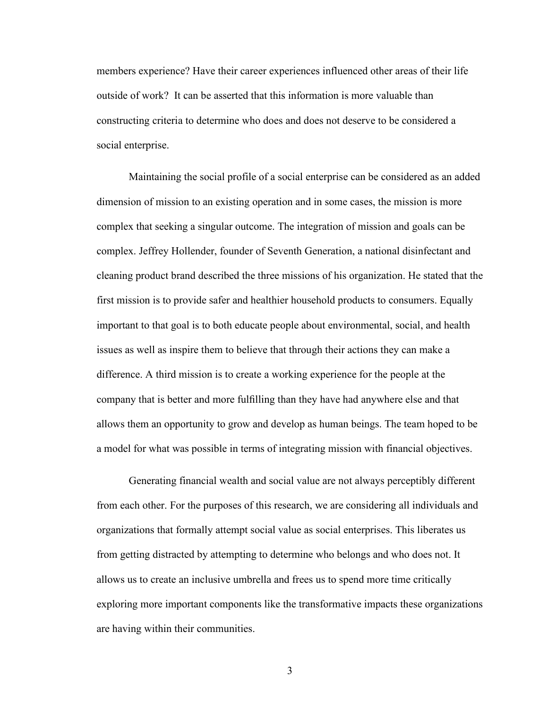members experience? Have their career experiences influenced other areas of their life outside of work? It can be asserted that this information is more valuable than constructing criteria to determine who does and does not deserve to be considered a social enterprise.

Maintaining the social profile of a social enterprise can be considered as an added dimension of mission to an existing operation and in some cases, the mission is more complex that seeking a singular outcome. The integration of mission and goals can be complex. Jeffrey Hollender, founder of Seventh Generation, a national disinfectant and cleaning product brand described the three missions of his organization. He stated that the first mission is to provide safer and healthier household products to consumers. Equally important to that goal is to both educate people about environmental, social, and health issues as well as inspire them to believe that through their actions they can make a difference. A third mission is to create a working experience for the people at the company that is better and more fulfilling than they have had anywhere else and that allows them an opportunity to grow and develop as human beings. The team hoped to be a model for what was possible in terms of integrating mission with financial objectives.

Generating financial wealth and social value are not always perceptibly different from each other. For the purposes of this research, we are considering all individuals and organizations that formally attempt social value as social enterprises. This liberates us from getting distracted by attempting to determine who belongs and who does not. It allows us to create an inclusive umbrella and frees us to spend more time critically exploring more important components like the transformative impacts these organizations are having within their communities.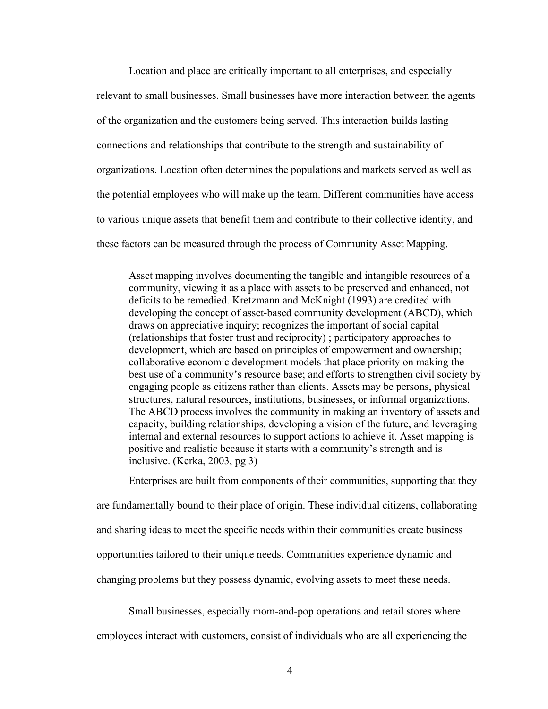Location and place are critically important to all enterprises, and especially relevant to small businesses. Small businesses have more interaction between the agents of the organization and the customers being served. This interaction builds lasting connections and relationships that contribute to the strength and sustainability of organizations. Location often determines the populations and markets served as well as the potential employees who will make up the team. Different communities have access to various unique assets that benefit them and contribute to their collective identity, and these factors can be measured through the process of Community Asset Mapping.

Asset mapping involves documenting the tangible and intangible resources of a community, viewing it as a place with assets to be preserved and enhanced, not deficits to be remedied. Kretzmann and McKnight (1993) are credited with developing the concept of asset-based community development (ABCD), which draws on appreciative inquiry; recognizes the important of social capital (relationships that foster trust and reciprocity) ; participatory approaches to development, which are based on principles of empowerment and ownership; collaborative economic development models that place priority on making the best use of a community's resource base; and efforts to strengthen civil society by engaging people as citizens rather than clients. Assets may be persons, physical structures, natural resources, institutions, businesses, or informal organizations. The ABCD process involves the community in making an inventory of assets and capacity, building relationships, developing a vision of the future, and leveraging internal and external resources to support actions to achieve it. Asset mapping is positive and realistic because it starts with a community's strength and is inclusive. (Kerka, 2003, pg 3)

Enterprises are built from components of their communities, supporting that they are fundamentally bound to their place of origin. These individual citizens, collaborating and sharing ideas to meet the specific needs within their communities create business opportunities tailored to their unique needs. Communities experience dynamic and changing problems but they possess dynamic, evolving assets to meet these needs.

Small businesses, especially mom-and-pop operations and retail stores where

employees interact with customers, consist of individuals who are all experiencing the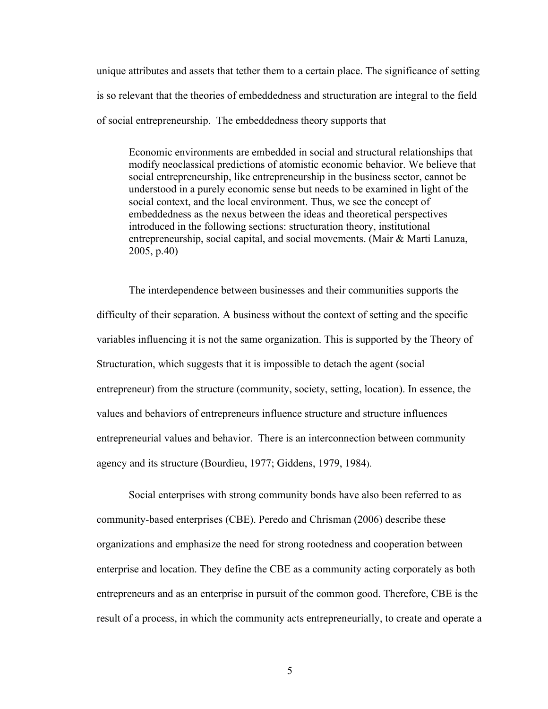unique attributes and assets that tether them to a certain place. The significance of setting is so relevant that the theories of embeddedness and structuration are integral to the field of social entrepreneurship. The embeddedness theory supports that

Economic environments are embedded in social and structural relationships that modify neoclassical predictions of atomistic economic behavior. We believe that social entrepreneurship, like entrepreneurship in the business sector, cannot be understood in a purely economic sense but needs to be examined in light of the social context, and the local environment. Thus, we see the concept of embeddedness as the nexus between the ideas and theoretical perspectives introduced in the following sections: structuration theory, institutional entrepreneurship, social capital, and social movements. (Mair & Marti Lanuza, 2005, p.40)

The interdependence between businesses and their communities supports the difficulty of their separation. A business without the context of setting and the specific variables influencing it is not the same organization. This is supported by the Theory of Structuration, which suggests that it is impossible to detach the agent (social entrepreneur) from the structure (community, society, setting, location). In essence, the values and behaviors of entrepreneurs influence structure and structure influences entrepreneurial values and behavior. There is an interconnection between community agency and its structure (Bourdieu, 1977; Giddens, 1979, 1984).

Social enterprises with strong community bonds have also been referred to as community-based enterprises (CBE). Peredo and Chrisman (2006) describe these organizations and emphasize the need for strong rootedness and cooperation between enterprise and location. They define the CBE as a community acting corporately as both entrepreneurs and as an enterprise in pursuit of the common good. Therefore, CBE is the result of a process, in which the community acts entrepreneurially, to create and operate a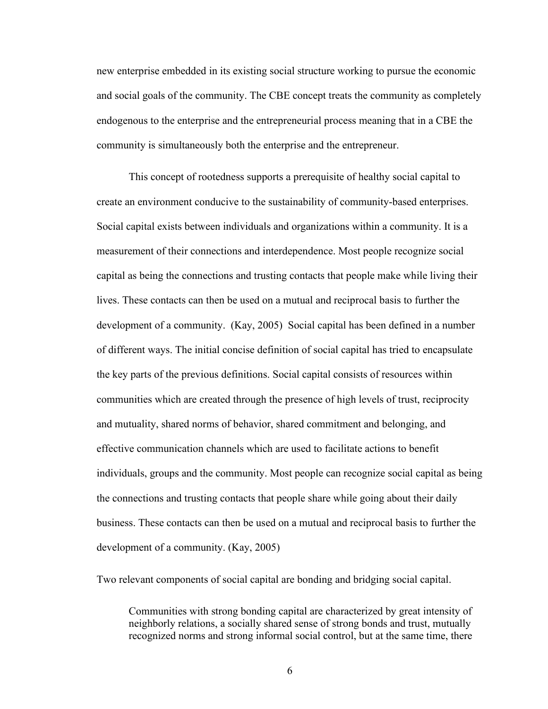new enterprise embedded in its existing social structure working to pursue the economic and social goals of the community. The CBE concept treats the community as completely endogenous to the enterprise and the entrepreneurial process meaning that in a CBE the community is simultaneously both the enterprise and the entrepreneur.

This concept of rootedness supports a prerequisite of healthy social capital to create an environment conducive to the sustainability of community-based enterprises. Social capital exists between individuals and organizations within a community. It is a measurement of their connections and interdependence. Most people recognize social capital as being the connections and trusting contacts that people make while living their lives. These contacts can then be used on a mutual and reciprocal basis to further the development of a community. (Kay, 2005) Social capital has been defined in a number of different ways. The initial concise definition of social capital has tried to encapsulate the key parts of the previous definitions. Social capital consists of resources within communities which are created through the presence of high levels of trust, reciprocity and mutuality, shared norms of behavior, shared commitment and belonging, and effective communication channels which are used to facilitate actions to benefit individuals, groups and the community. Most people can recognize social capital as being the connections and trusting contacts that people share while going about their daily business. These contacts can then be used on a mutual and reciprocal basis to further the development of a community. (Kay, 2005)

Two relevant components of social capital are bonding and bridging social capital.

Communities with strong bonding capital are characterized by great intensity of neighborly relations, a socially shared sense of strong bonds and trust, mutually recognized norms and strong informal social control, but at the same time, there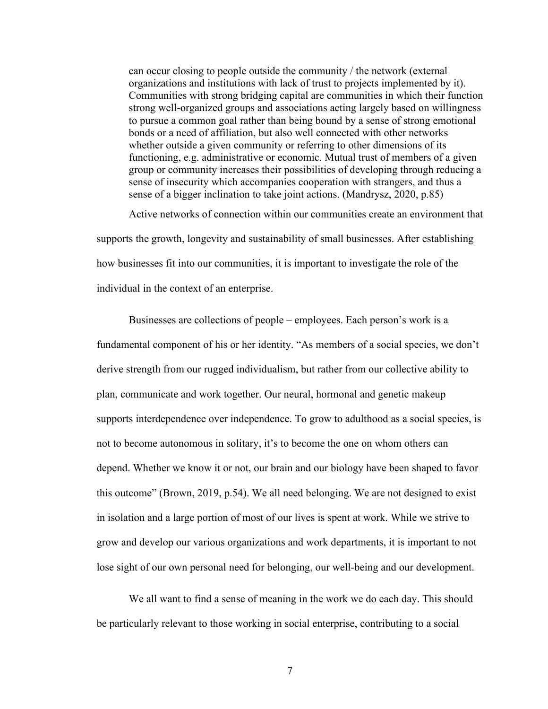can occur closing to people outside the community / the network (external organizations and institutions with lack of trust to projects implemented by it). Communities with strong bridging capital are communities in which their function strong well-organized groups and associations acting largely based on willingness to pursue a common goal rather than being bound by a sense of strong emotional bonds or a need of affiliation, but also well connected with other networks whether outside a given community or referring to other dimensions of its functioning, e.g. administrative or economic. Mutual trust of members of a given group or community increases their possibilities of developing through reducing a sense of insecurity which accompanies cooperation with strangers, and thus a sense of a bigger inclination to take joint actions. (Mandrysz, 2020, p.85)

Active networks of connection within our communities create an environment that supports the growth, longevity and sustainability of small businesses. After establishing how businesses fit into our communities, it is important to investigate the role of the individual in the context of an enterprise.

Businesses are collections of people – employees. Each person's work is a fundamental component of his or her identity. "As members of a social species, we don't derive strength from our rugged individualism, but rather from our collective ability to plan, communicate and work together. Our neural, hormonal and genetic makeup supports interdependence over independence. To grow to adulthood as a social species, is not to become autonomous in solitary, it's to become the one on whom others can depend. Whether we know it or not, our brain and our biology have been shaped to favor this outcome" (Brown, 2019, p.54). We all need belonging. We are not designed to exist in isolation and a large portion of most of our lives is spent at work. While we strive to grow and develop our various organizations and work departments, it is important to not lose sight of our own personal need for belonging, our well-being and our development.

We all want to find a sense of meaning in the work we do each day. This should be particularly relevant to those working in social enterprise, contributing to a social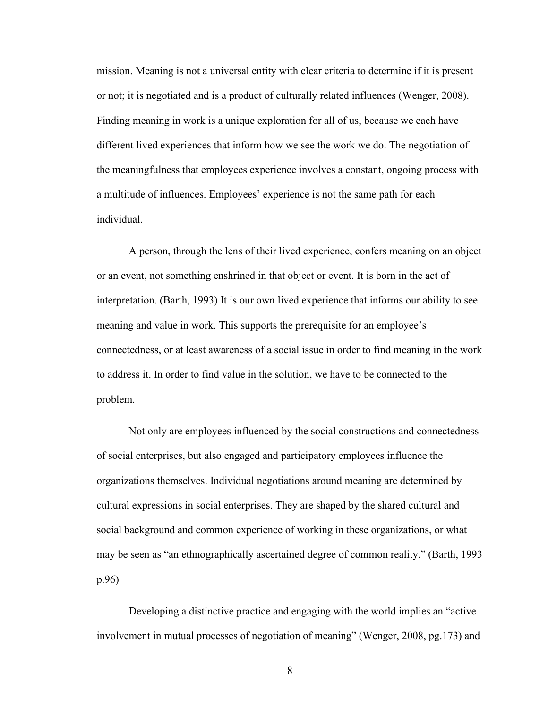mission. Meaning is not a universal entity with clear criteria to determine if it is present or not; it is negotiated and is a product of culturally related influences (Wenger, 2008). Finding meaning in work is a unique exploration for all of us, because we each have different lived experiences that inform how we see the work we do. The negotiation of the meaningfulness that employees experience involves a constant, ongoing process with a multitude of influences. Employees' experience is not the same path for each individual.

A person, through the lens of their lived experience, confers meaning on an object or an event, not something enshrined in that object or event. It is born in the act of interpretation. (Barth, 1993) It is our own lived experience that informs our ability to see meaning and value in work. This supports the prerequisite for an employee's connectedness, or at least awareness of a social issue in order to find meaning in the work to address it. In order to find value in the solution, we have to be connected to the problem.

Not only are employees influenced by the social constructions and connectedness of social enterprises, but also engaged and participatory employees influence the organizations themselves. Individual negotiations around meaning are determined by cultural expressions in social enterprises. They are shaped by the shared cultural and social background and common experience of working in these organizations, or what may be seen as "an ethnographically ascertained degree of common reality." (Barth, 1993 p.96)

Developing a distinctive practice and engaging with the world implies an "active involvement in mutual processes of negotiation of meaning" (Wenger, 2008, pg.173) and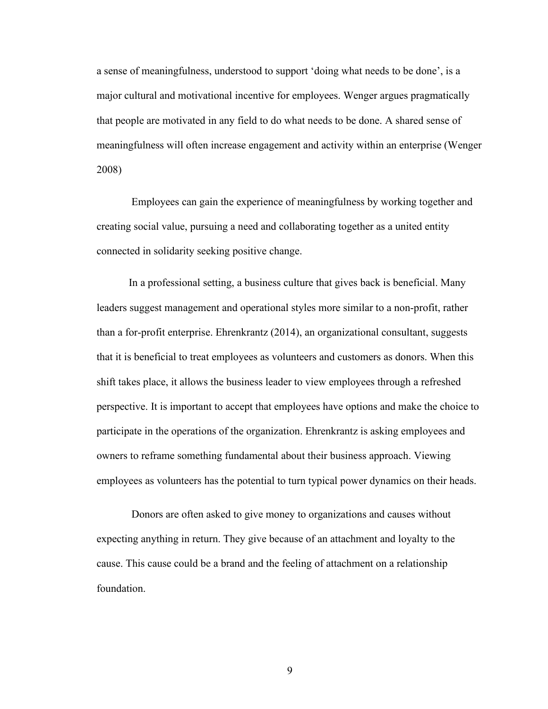a sense of meaningfulness, understood to support 'doing what needs to be done', is a major cultural and motivational incentive for employees. Wenger argues pragmatically that people are motivated in any field to do what needs to be done. A shared sense of meaningfulness will often increase engagement and activity within an enterprise (Wenger 2008)

Employees can gain the experience of meaningfulness by working together and creating social value, pursuing a need and collaborating together as a united entity connected in solidarity seeking positive change.

In a professional setting, a business culture that gives back is beneficial. Many leaders suggest management and operational styles more similar to a non-profit, rather than a for-profit enterprise. Ehrenkrantz (2014), an organizational consultant, suggests that it is beneficial to treat employees as volunteers and customers as donors. When this shift takes place, it allows the business leader to view employees through a refreshed perspective. It is important to accept that employees have options and make the choice to participate in the operations of the organization. Ehrenkrantz is asking employees and owners to reframe something fundamental about their business approach. Viewing employees as volunteers has the potential to turn typical power dynamics on their heads.

 Donors are often asked to give money to organizations and causes without expecting anything in return. They give because of an attachment and loyalty to the cause. This cause could be a brand and the feeling of attachment on a relationship foundation.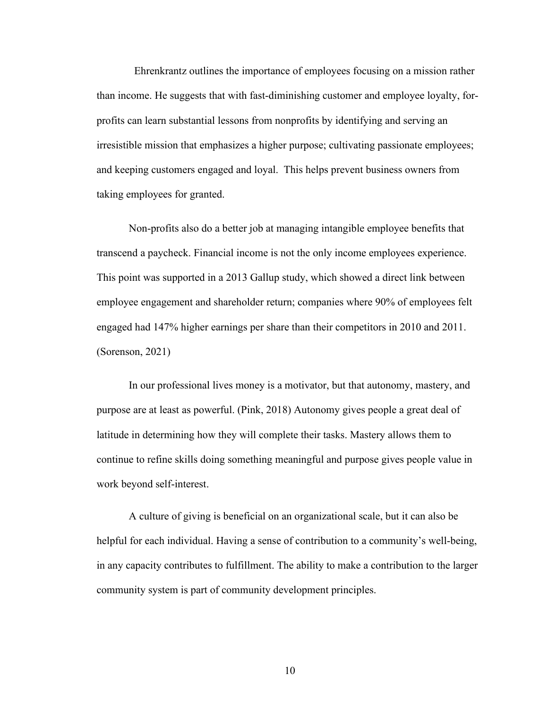Ehrenkrantz outlines the importance of employees focusing on a mission rather than income. He suggests that with fast-diminishing customer and employee loyalty, forprofits can learn substantial lessons from nonprofits by identifying and serving an irresistible mission that emphasizes a higher purpose; cultivating passionate employees; and keeping customers engaged and loyal. This helps prevent business owners from taking employees for granted.

Non-profits also do a better job at managing intangible employee benefits that transcend a paycheck. Financial income is not the only income employees experience. This point was supported in a 2013 Gallup study, which showed a direct link between employee engagement and shareholder return; companies where 90% of employees felt engaged had 147% higher earnings per share than their competitors in 2010 and 2011. (Sorenson, 2021)

 In our professional lives money is a motivator, but that autonomy, mastery, and purpose are at least as powerful. (Pink, 2018) Autonomy gives people a great deal of latitude in determining how they will complete their tasks. Mastery allows them to continue to refine skills doing something meaningful and purpose gives people value in work beyond self-interest.

 A culture of giving is beneficial on an organizational scale, but it can also be helpful for each individual. Having a sense of contribution to a community's well-being, in any capacity contributes to fulfillment. The ability to make a contribution to the larger community system is part of community development principles.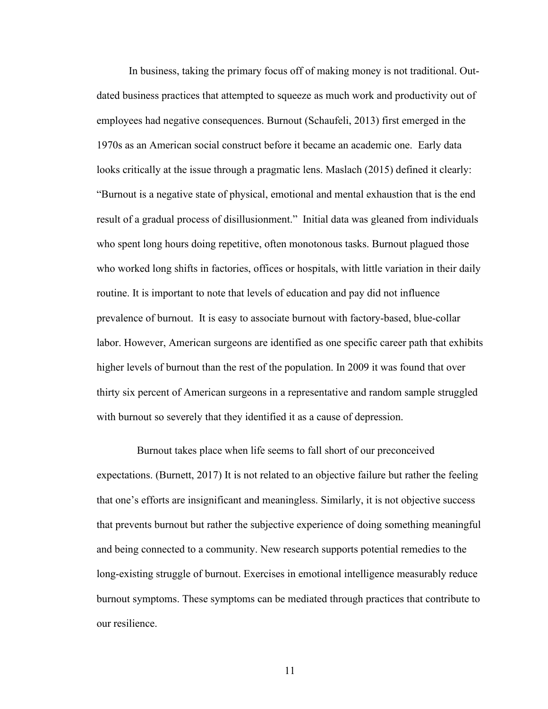In business, taking the primary focus off of making money is not traditional. Outdated business practices that attempted to squeeze as much work and productivity out of employees had negative consequences. Burnout (Schaufeli, 2013) first emerged in the 1970s as an American social construct before it became an academic one. Early data looks critically at the issue through a pragmatic lens. Maslach (2015) defined it clearly: "Burnout is a negative state of physical, emotional and mental exhaustion that is the end result of a gradual process of disillusionment." Initial data was gleaned from individuals who spent long hours doing repetitive, often monotonous tasks. Burnout plagued those who worked long shifts in factories, offices or hospitals, with little variation in their daily routine. It is important to note that levels of education and pay did not influence prevalence of burnout. It is easy to associate burnout with factory-based, blue-collar labor. However, American surgeons are identified as one specific career path that exhibits higher levels of burnout than the rest of the population. In 2009 it was found that over thirty six percent of American surgeons in a representative and random sample struggled with burnout so severely that they identified it as a cause of depression.

 Burnout takes place when life seems to fall short of our preconceived expectations. (Burnett, 2017) It is not related to an objective failure but rather the feeling that one's efforts are insignificant and meaningless. Similarly, it is not objective success that prevents burnout but rather the subjective experience of doing something meaningful and being connected to a community. New research supports potential remedies to the long-existing struggle of burnout. Exercises in emotional intelligence measurably reduce burnout symptoms. These symptoms can be mediated through practices that contribute to our resilience.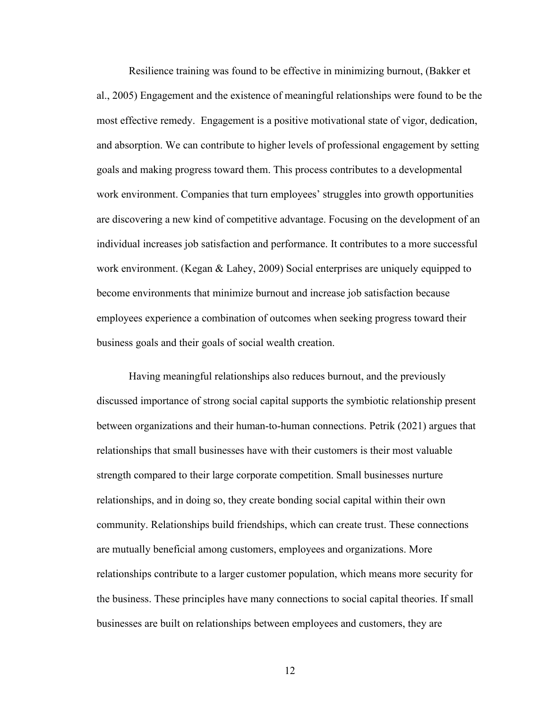Resilience training was found to be effective in minimizing burnout, (Bakker et al., 2005) Engagement and the existence of meaningful relationships were found to be the most effective remedy. Engagement is a positive motivational state of vigor, dedication, and absorption. We can contribute to higher levels of professional engagement by setting goals and making progress toward them. This process contributes to a developmental work environment. Companies that turn employees' struggles into growth opportunities are discovering a new kind of competitive advantage. Focusing on the development of an individual increases job satisfaction and performance. It contributes to a more successful work environment. (Kegan & Lahey, 2009) Social enterprises are uniquely equipped to become environments that minimize burnout and increase job satisfaction because employees experience a combination of outcomes when seeking progress toward their business goals and their goals of social wealth creation.

 Having meaningful relationships also reduces burnout, and the previously discussed importance of strong social capital supports the symbiotic relationship present between organizations and their human-to-human connections. Petrik (2021) argues that relationships that small businesses have with their customers is their most valuable strength compared to their large corporate competition. Small businesses nurture relationships, and in doing so, they create bonding social capital within their own community. Relationships build friendships, which can create trust. These connections are mutually beneficial among customers, employees and organizations. More relationships contribute to a larger customer population, which means more security for the business. These principles have many connections to social capital theories. If small businesses are built on relationships between employees and customers, they are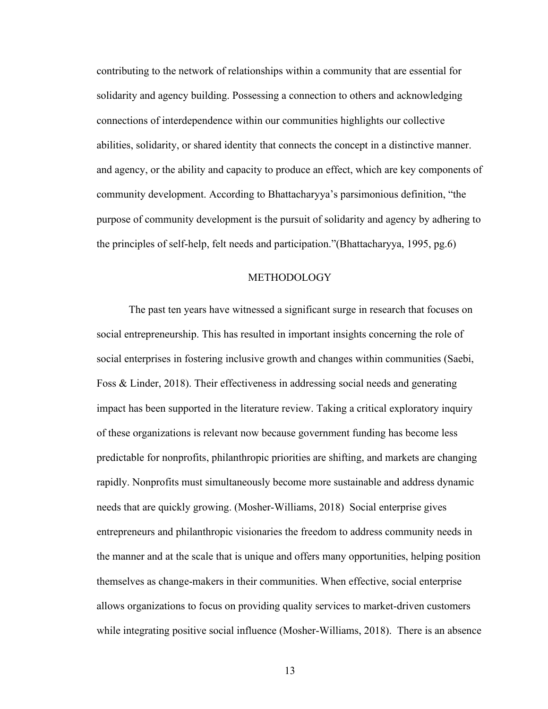contributing to the network of relationships within a community that are essential for solidarity and agency building. Possessing a connection to others and acknowledging connections of interdependence within our communities highlights our collective abilities, solidarity, or shared identity that connects the concept in a distinctive manner. and agency, or the ability and capacity to produce an effect, which are key components of community development. According to Bhattacharyya's parsimonious definition, "the purpose of community development is the pursuit of solidarity and agency by adhering to the principles of self-help, felt needs and participation."(Bhattacharyya, 1995, pg.6)

#### METHODOLOGY

The past ten years have witnessed a significant surge in research that focuses on social entrepreneurship. This has resulted in important insights concerning the role of social enterprises in fostering inclusive growth and changes within communities (Saebi, Foss & Linder, 2018). Their effectiveness in addressing social needs and generating impact has been supported in the literature review. Taking a critical exploratory inquiry of these organizations is relevant now because government funding has become less predictable for nonprofits, philanthropic priorities are shifting, and markets are changing rapidly. Nonprofits must simultaneously become more sustainable and address dynamic needs that are quickly growing. (Mosher-Williams, 2018) Social enterprise gives entrepreneurs and philanthropic visionaries the freedom to address community needs in the manner and at the scale that is unique and offers many opportunities, helping position themselves as change-makers in their communities. When effective, social enterprise allows organizations to focus on providing quality services to market-driven customers while integrating positive social influence (Mosher-Williams, 2018). There is an absence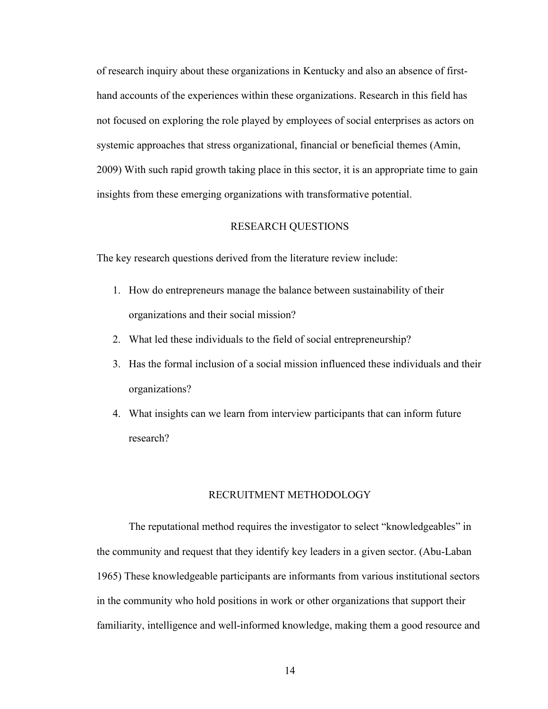of research inquiry about these organizations in Kentucky and also an absence of firsthand accounts of the experiences within these organizations. Research in this field has not focused on exploring the role played by employees of social enterprises as actors on systemic approaches that stress organizational, financial or beneficial themes (Amin, 2009) With such rapid growth taking place in this sector, it is an appropriate time to gain insights from these emerging organizations with transformative potential.

#### RESEARCH QUESTIONS

The key research questions derived from the literature review include:

- 1. How do entrepreneurs manage the balance between sustainability of their organizations and their social mission?
- 2. What led these individuals to the field of social entrepreneurship?
- 3. Has the formal inclusion of a social mission influenced these individuals and their organizations?
- 4. What insights can we learn from interview participants that can inform future research?

#### RECRUITMENT METHODOLOGY

The reputational method requires the investigator to select "knowledgeables" in the community and request that they identify key leaders in a given sector. (Abu-Laban 1965) These knowledgeable participants are informants from various institutional sectors in the community who hold positions in work or other organizations that support their familiarity, intelligence and well-informed knowledge, making them a good resource and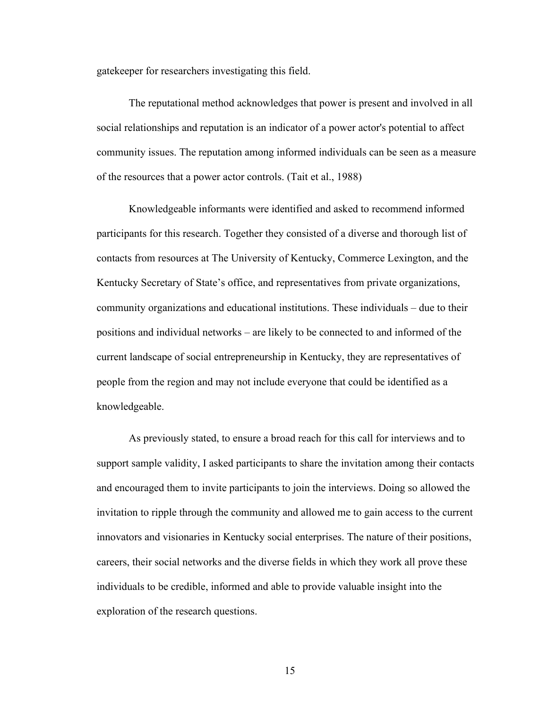gatekeeper for researchers investigating this field.

The reputational method acknowledges that power is present and involved in all social relationships and reputation is an indicator of a power actor's potential to affect community issues. The reputation among informed individuals can be seen as a measure of the resources that a power actor controls. (Tait et al., 1988)

Knowledgeable informants were identified and asked to recommend informed participants for this research. Together they consisted of a diverse and thorough list of contacts from resources at The University of Kentucky, Commerce Lexington, and the Kentucky Secretary of State's office, and representatives from private organizations, community organizations and educational institutions. These individuals – due to their positions and individual networks – are likely to be connected to and informed of the current landscape of social entrepreneurship in Kentucky, they are representatives of people from the region and may not include everyone that could be identified as a knowledgeable.

As previously stated, to ensure a broad reach for this call for interviews and to support sample validity, I asked participants to share the invitation among their contacts and encouraged them to invite participants to join the interviews. Doing so allowed the invitation to ripple through the community and allowed me to gain access to the current innovators and visionaries in Kentucky social enterprises. The nature of their positions, careers, their social networks and the diverse fields in which they work all prove these individuals to be credible, informed and able to provide valuable insight into the exploration of the research questions.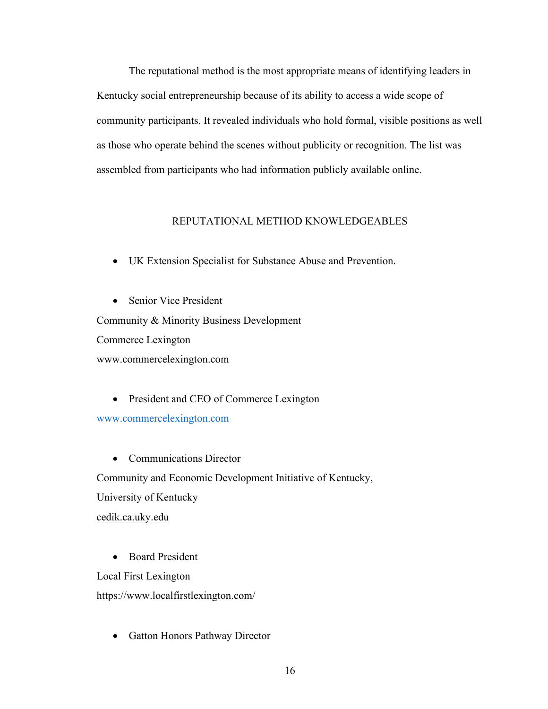The reputational method is the most appropriate means of identifying leaders in Kentucky social entrepreneurship because of its ability to access a wide scope of community participants. It revealed individuals who hold formal, visible positions as well as those who operate behind the scenes without publicity or recognition. The list was assembled from participants who had information publicly available online.

### REPUTATIONAL METHOD KNOWLEDGEABLES

• UK Extension Specialist for Substance Abuse and Prevention.

• Senior Vice President Community & Minority Business Development Commerce Lexington [www.commercelexington.com](http://www.commercelexington.com/)

• President and CEO of Commerce Lexington [www.commercelexington.com](http://www.commercelexington.com/)

• Communications Director Community and Economic Development Initiative of Kentucky, University of Kentucky cedik.ca.uky.edu

• Board President

Local First Lexington

<https://www.localfirstlexington.com/>

• Gatton Honors Pathway Director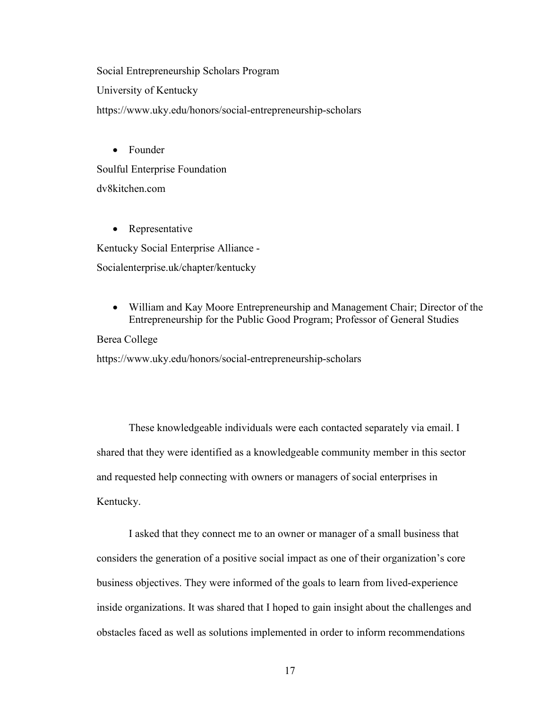Social Entrepreneurship Scholars Program University of Kentucky <https://www.uky.edu/honors/social-entrepreneurship-scholars>

• Founder Soulful Enterprise Foundation dv8kitchen.com

• Representative Kentucky Social Enterprise Alliance - Socialenterprise.uk/chapter/kentucky

• William and Kay Moore Entrepreneurship and Management Chair; Director of the Entrepreneurship for the Public Good Program; Professor of General Studies

Berea College

<https://www.uky.edu/honors/social-entrepreneurship-scholars>

These knowledgeable individuals were each contacted separately via email. I shared that they were identified as a knowledgeable community member in this sector and requested help connecting with owners or managers of social enterprises in Kentucky.

I asked that they connect me to an owner or manager of a small business that considers the generation of a positive social impact as one of their organization's core business objectives. They were informed of the goals to learn from lived-experience inside organizations. It was shared that I hoped to gain insight about the challenges and obstacles faced as well as solutions implemented in order to inform recommendations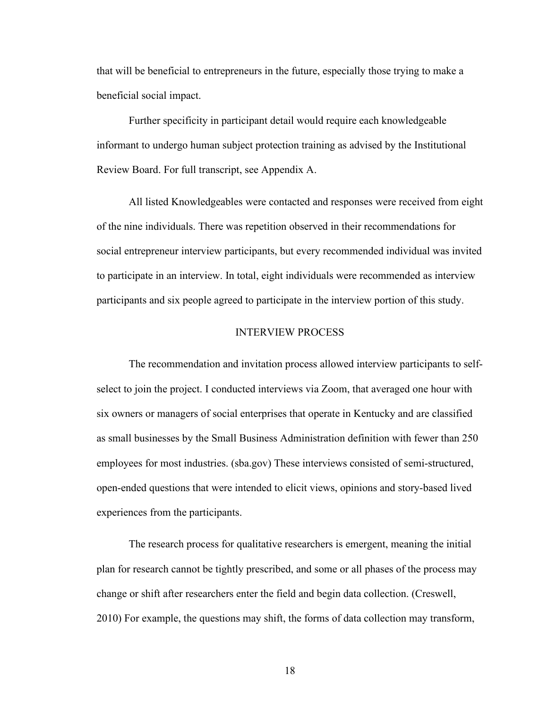that will be beneficial to entrepreneurs in the future, especially those trying to make a beneficial social impact.

Further specificity in participant detail would require each knowledgeable informant to undergo human subject protection training as advised by the Institutional Review Board. For full transcript, see Appendix A.

All listed Knowledgeables were contacted and responses were received from eight of the nine individuals. There was repetition observed in their recommendations for social entrepreneur interview participants, but every recommended individual was invited to participate in an interview. In total, eight individuals were recommended as interview participants and six people agreed to participate in the interview portion of this study.

#### INTERVIEW PROCESS

The recommendation and invitation process allowed interview participants to selfselect to join the project. I conducted interviews via Zoom, that averaged one hour with six owners or managers of social enterprises that operate in Kentucky and are classified as small businesses by the Small Business Administration definition with fewer than 250 employees for most industries. (sba.gov) These interviews consisted of semi-structured, open-ended questions that were intended to elicit views, opinions and story-based lived experiences from the participants.

The research process for qualitative researchers is emergent, meaning the initial plan for research cannot be tightly prescribed, and some or all phases of the process may change or shift after researchers enter the field and begin data collection. (Creswell, 2010) For example, the questions may shift, the forms of data collection may transform,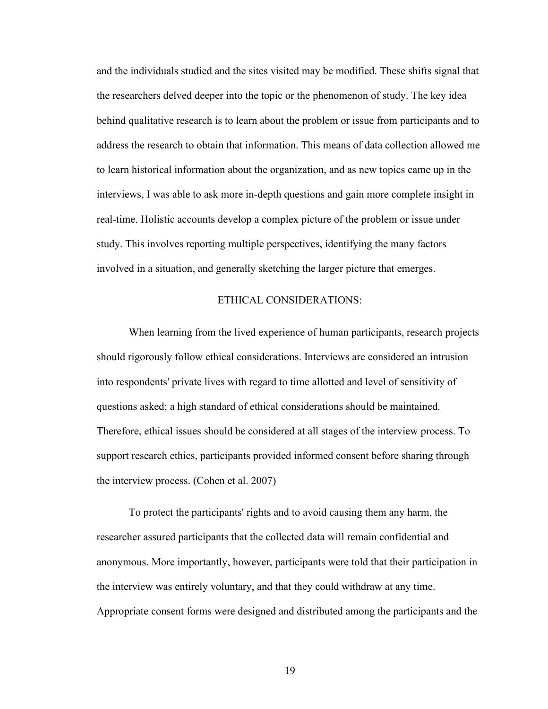and the individuals studied and the sites visited may be modified. These shifts signal that the researchers delved deeper into the topic or the phenomenon of study. The key idea behind qualitative research is to learn about the problem or issue from participants and to address the research to obtain that information. This means of data collection allowed me to learn historical information about the organization, and as new topics came up in the interviews, I was able to ask more in-depth questions and gain more complete insight in real-time. Holistic accounts develop a complex picture of the problem or issue under study. This involves reporting multiple perspectives, identifying the many factors involved in a situation, and generally sketching the larger picture that emerges.

#### ETHICAL CONSIDERATIONS:

When learning from the lived experience of human participants, research projects should rigorously follow ethical considerations. Interviews are considered an intrusion into respondents' private lives with regard to time allotted and level of sensitivity of questions asked; a high standard of ethical considerations should be maintained. Therefore, ethical issues should be considered at all stages of the interview process. To support research ethics, participants provided informed consent before sharing through the interview process. (Cohen et al. 2007)

To protect the participants' rights and to avoid causing them any harm, the researcher assured participants that the collected data will remain confidential and anonymous. More importantly, however, participants were told that their participation in the interview was entirely voluntary, and that they could withdraw at any time. Appropriate consent forms were designed and distributed among the participants and the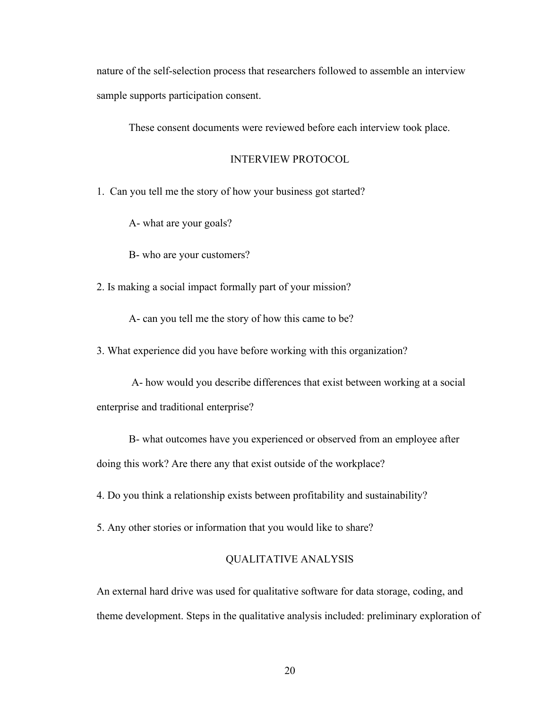nature of the self-selection process that researchers followed to assemble an interview sample supports participation consent.

These consent documents were reviewed before each interview took place.

#### INTERVIEW PROTOCOL

1. Can you tell me the story of how your business got started?

A- what are your goals?

B- who are your customers?

2. Is making a social impact formally part of your mission?

A- can you tell me the story of how this came to be?

3. What experience did you have before working with this organization?

A- how would you describe differences that exist between working at a social enterprise and traditional enterprise?

B- what outcomes have you experienced or observed from an employee after doing this work? Are there any that exist outside of the workplace?

4. Do you think a relationship exists between profitability and sustainability?

5. Any other stories or information that you would like to share?

#### QUALITATIVE ANALYSIS

An external hard drive was used for qualitative software for data storage, coding, and theme development. Steps in the qualitative analysis included: preliminary exploration of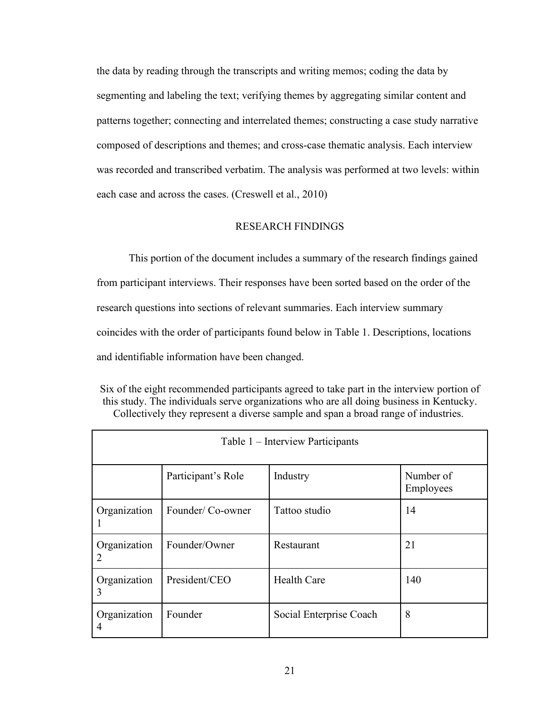the data by reading through the transcripts and writing memos; coding the data by segmenting and labeling the text; verifying themes by aggregating similar content and patterns together; connecting and interrelated themes; constructing a case study narrative composed of descriptions and themes; and cross-case thematic analysis. Each interview was recorded and transcribed verbatim. The analysis was performed at two levels: within each case and across the cases. (Creswell et al., 2010)

#### RESEARCH FINDINGS

This portion of the document includes a summary of the research findings gained from participant interviews. Their responses have been sorted based on the order of the research questions into sections of relevant summaries. Each interview summary coincides with the order of participants found below in Table 1. Descriptions, locations and identifiable information have been changed.

Six of the eight recommended participants agreed to take part in the interview portion of this study. The individuals serve organizations who are all doing business in Kentucky. Collectively they represent a diverse sample and span a broad range of industries.

| Table 1 – Interview Participants                |                    |                         |                        |  |  |  |
|-------------------------------------------------|--------------------|-------------------------|------------------------|--|--|--|
|                                                 | Participant's Role | Industry                | Number of<br>Employees |  |  |  |
| Organization                                    | Founder/Co-owner   | Tattoo studio           | 14                     |  |  |  |
| Founder/Owner<br>Organization<br>$\overline{2}$ |                    | Restaurant              | 21                     |  |  |  |
| Organization<br>3                               | President/CEO      | <b>Health Care</b>      | 140                    |  |  |  |
| Founder<br>Organization<br>4                    |                    | Social Enterprise Coach | 8                      |  |  |  |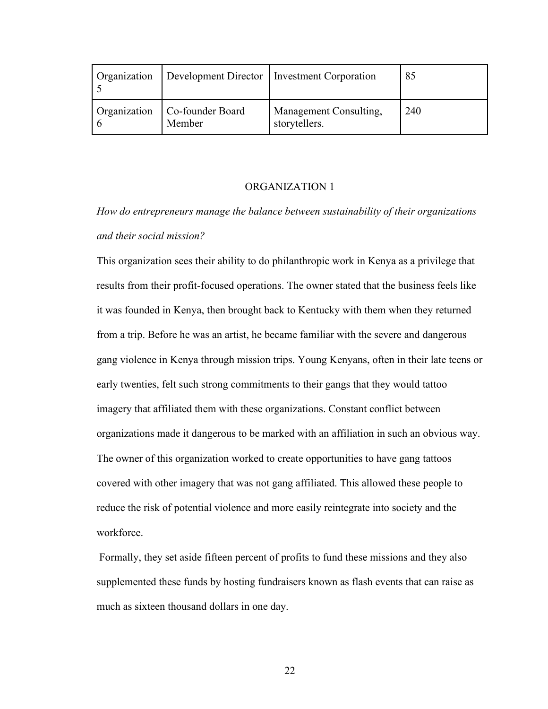| Organization |                                           | Development Director   Investment Corporation | 85  |
|--------------|-------------------------------------------|-----------------------------------------------|-----|
|              | Organization   Co-founder Board<br>Member | Management Consulting,<br>storytellers.       | 240 |

#### ORGANIZATION 1

*How do entrepreneurs manage the balance between sustainability of their organizations and their social mission?*

This organization sees their ability to do philanthropic work in Kenya as a privilege that results from their profit-focused operations. The owner stated that the business feels like it was founded in Kenya, then brought back to Kentucky with them when they returned from a trip. Before he was an artist, he became familiar with the severe and dangerous gang violence in Kenya through mission trips. Young Kenyans, often in their late teens or early twenties, felt such strong commitments to their gangs that they would tattoo imagery that affiliated them with these organizations. Constant conflict between organizations made it dangerous to be marked with an affiliation in such an obvious way. The owner of this organization worked to create opportunities to have gang tattoos covered with other imagery that was not gang affiliated. This allowed these people to reduce the risk of potential violence and more easily reintegrate into society and the workforce.

Formally, they set aside fifteen percent of profits to fund these missions and they also supplemented these funds by hosting fundraisers known as flash events that can raise as much as sixteen thousand dollars in one day.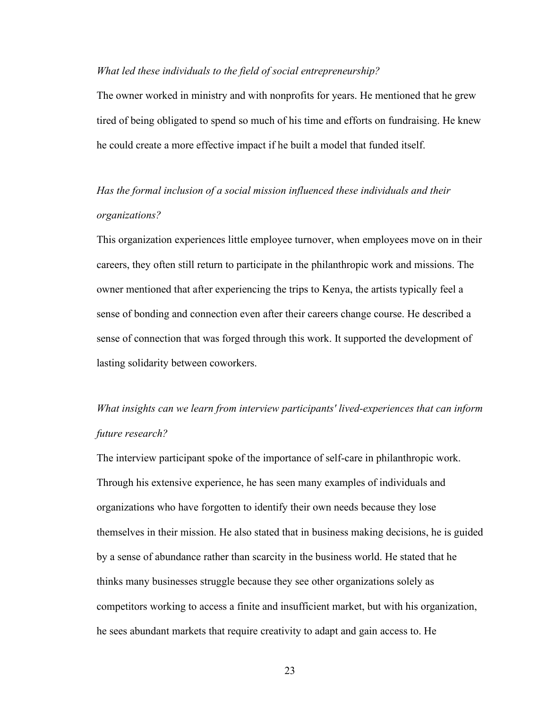#### *What led these individuals to the field of social entrepreneurship?*

The owner worked in ministry and with nonprofits for years. He mentioned that he grew tired of being obligated to spend so much of his time and efforts on fundraising. He knew he could create a more effective impact if he built a model that funded itself.

## *Has the formal inclusion of a social mission influenced these individuals and their organizations?*

This organization experiences little employee turnover, when employees move on in their careers, they often still return to participate in the philanthropic work and missions. The owner mentioned that after experiencing the trips to Kenya, the artists typically feel a sense of bonding and connection even after their careers change course. He described a sense of connection that was forged through this work. It supported the development of lasting solidarity between coworkers.

# *What insights can we learn from interview participants' lived-experiences that can inform future research?*

The interview participant spoke of the importance of self-care in philanthropic work. Through his extensive experience, he has seen many examples of individuals and organizations who have forgotten to identify their own needs because they lose themselves in their mission. He also stated that in business making decisions, he is guided by a sense of abundance rather than scarcity in the business world. He stated that he thinks many businesses struggle because they see other organizations solely as competitors working to access a finite and insufficient market, but with his organization, he sees abundant markets that require creativity to adapt and gain access to. He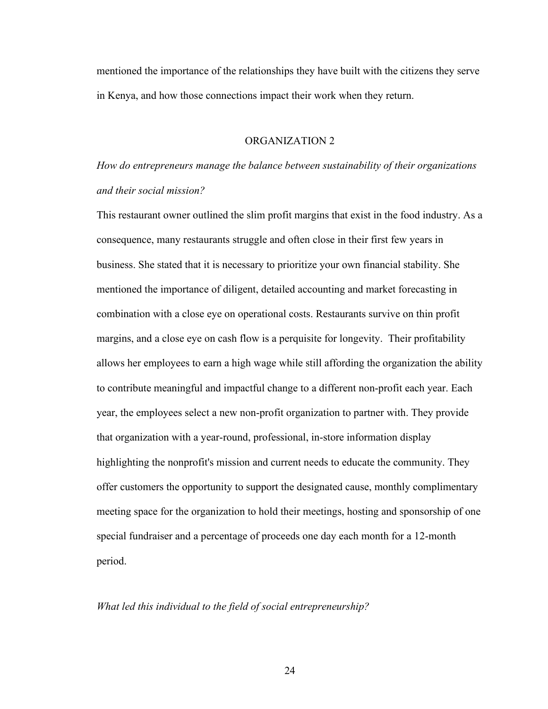mentioned the importance of the relationships they have built with the citizens they serve in Kenya, and how those connections impact their work when they return.

#### ORGANIZATION 2

*How do entrepreneurs manage the balance between sustainability of their organizations and their social mission?*

This restaurant owner outlined the slim profit margins that exist in the food industry. As a consequence, many restaurants struggle and often close in their first few years in business. She stated that it is necessary to prioritize your own financial stability. She mentioned the importance of diligent, detailed accounting and market forecasting in combination with a close eye on operational costs. Restaurants survive on thin profit margins, and a close eye on cash flow is a perquisite for longevity. Their profitability allows her employees to earn a high wage while still affording the organization the ability to contribute meaningful and impactful change to a different non-profit each year. Each year, the employees select a new non-profit organization to partner with. They provide that organization with a year-round, professional, in-store information display highlighting the nonprofit's mission and current needs to educate the community. They offer customers the opportunity to support the designated cause, monthly complimentary meeting space for the organization to hold their meetings, hosting and sponsorship of one special fundraiser and a percentage of proceeds one day each month for a 12-month period.

#### *What led this individual to the field of social entrepreneurship?*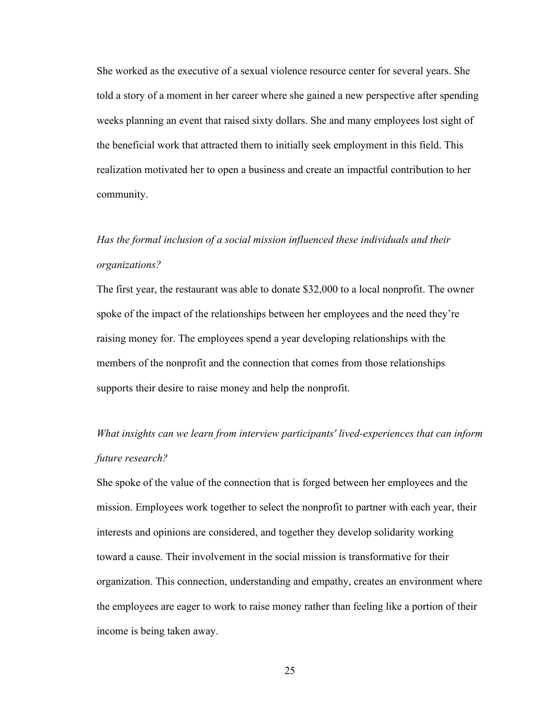She worked as the executive of a sexual violence resource center for several years. She told a story of a moment in her career where she gained a new perspective after spending weeks planning an event that raised sixty dollars. She and many employees lost sight of the beneficial work that attracted them to initially seek employment in this field. This realization motivated her to open a business and create an impactful contribution to her community.

# *Has the formal inclusion of a social mission influenced these individuals and their organizations?*

The first year, the restaurant was able to donate \$32,000 to a local nonprofit. The owner spoke of the impact of the relationships between her employees and the need they're raising money for. The employees spend a year developing relationships with the members of the nonprofit and the connection that comes from those relationships supports their desire to raise money and help the nonprofit.

*What insights can we learn from interview participants' lived-experiences that can inform future research?*

She spoke of the value of the connection that is forged between her employees and the mission. Employees work together to select the nonprofit to partner with each year, their interests and opinions are considered, and together they develop solidarity working toward a cause. Their involvement in the social mission is transformative for their organization. This connection, understanding and empathy, creates an environment where the employees are eager to work to raise money rather than feeling like a portion of their income is being taken away.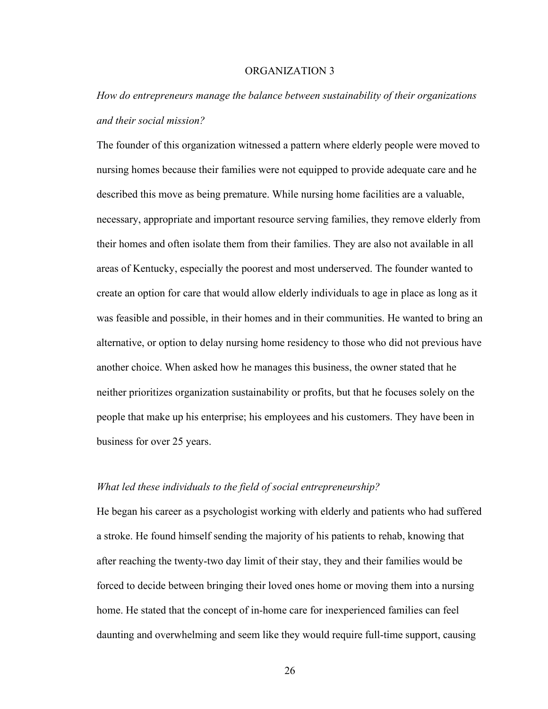#### ORGANIZATION 3

# *How do entrepreneurs manage the balance between sustainability of their organizations and their social mission?*

The founder of this organization witnessed a pattern where elderly people were moved to nursing homes because their families were not equipped to provide adequate care and he described this move as being premature. While nursing home facilities are a valuable, necessary, appropriate and important resource serving families, they remove elderly from their homes and often isolate them from their families. They are also not available in all areas of Kentucky, especially the poorest and most underserved. The founder wanted to create an option for care that would allow elderly individuals to age in place as long as it was feasible and possible, in their homes and in their communities. He wanted to bring an alternative, or option to delay nursing home residency to those who did not previous have another choice. When asked how he manages this business, the owner stated that he neither prioritizes organization sustainability or profits, but that he focuses solely on the people that make up his enterprise; his employees and his customers. They have been in business for over 25 years.

#### *What led these individuals to the field of social entrepreneurship?*

He began his career as a psychologist working with elderly and patients who had suffered a stroke. He found himself sending the majority of his patients to rehab, knowing that after reaching the twenty-two day limit of their stay, they and their families would be forced to decide between bringing their loved ones home or moving them into a nursing home. He stated that the concept of in-home care for inexperienced families can feel daunting and overwhelming and seem like they would require full-time support, causing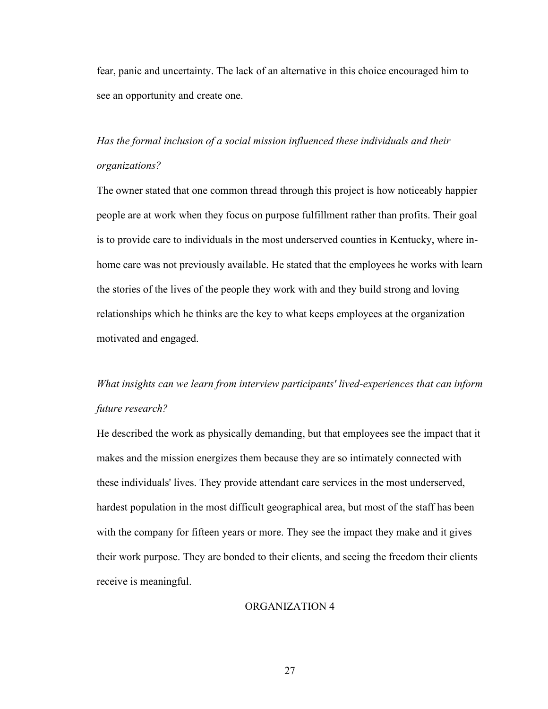fear, panic and uncertainty. The lack of an alternative in this choice encouraged him to see an opportunity and create one.

# *Has the formal inclusion of a social mission influenced these individuals and their organizations?*

The owner stated that one common thread through this project is how noticeably happier people are at work when they focus on purpose fulfillment rather than profits. Their goal is to provide care to individuals in the most underserved counties in Kentucky, where inhome care was not previously available. He stated that the employees he works with learn the stories of the lives of the people they work with and they build strong and loving relationships which he thinks are the key to what keeps employees at the organization motivated and engaged.

# *What insights can we learn from interview participants' lived-experiences that can inform future research?*

He described the work as physically demanding, but that employees see the impact that it makes and the mission energizes them because they are so intimately connected with these individuals' lives. They provide attendant care services in the most underserved, hardest population in the most difficult geographical area, but most of the staff has been with the company for fifteen years or more. They see the impact they make and it gives their work purpose. They are bonded to their clients, and seeing the freedom their clients receive is meaningful.

#### ORGANIZATION 4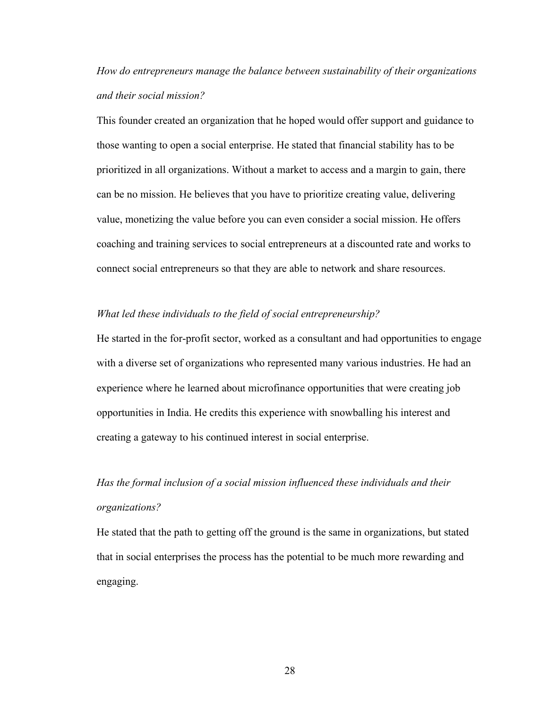*How do entrepreneurs manage the balance between sustainability of their organizations and their social mission?*

This founder created an organization that he hoped would offer support and guidance to those wanting to open a social enterprise. He stated that financial stability has to be prioritized in all organizations. Without a market to access and a margin to gain, there can be no mission. He believes that you have to prioritize creating value, delivering value, monetizing the value before you can even consider a social mission. He offers coaching and training services to social entrepreneurs at a discounted rate and works to connect social entrepreneurs so that they are able to network and share resources.

#### *What led these individuals to the field of social entrepreneurship?*

He started in the for-profit sector, worked as a consultant and had opportunities to engage with a diverse set of organizations who represented many various industries. He had an experience where he learned about microfinance opportunities that were creating job opportunities in India. He credits this experience with snowballing his interest and creating a gateway to his continued interest in social enterprise.

# *Has the formal inclusion of a social mission influenced these individuals and their organizations?*

He stated that the path to getting off the ground is the same in organizations, but stated that in social enterprises the process has the potential to be much more rewarding and engaging.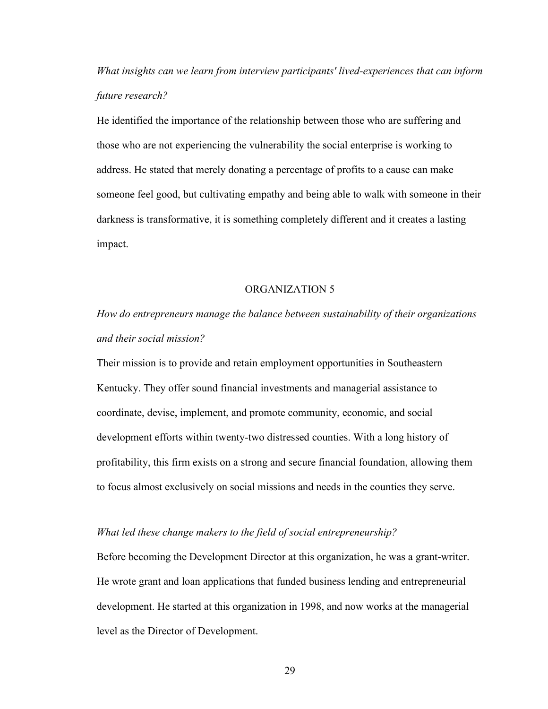*What insights can we learn from interview participants' lived-experiences that can inform future research?*

He identified the importance of the relationship between those who are suffering and those who are not experiencing the vulnerability the social enterprise is working to address. He stated that merely donating a percentage of profits to a cause can make someone feel good, but cultivating empathy and being able to walk with someone in their darkness is transformative, it is something completely different and it creates a lasting impact.

#### ORGANIZATION 5

*How do entrepreneurs manage the balance between sustainability of their organizations and their social mission?*

Their mission is to provide and retain employment opportunities in Southeastern Kentucky. They offer sound financial investments and managerial assistance to coordinate, devise, implement, and promote community, economic, and social development efforts within twenty-two distressed counties. With a long history of profitability, this firm exists on a strong and secure financial foundation, allowing them to focus almost exclusively on social missions and needs in the counties they serve.

#### *What led these change makers to the field of social entrepreneurship?*

Before becoming the Development Director at this organization, he was a grant-writer. He wrote grant and loan applications that funded business lending and entrepreneurial development. He started at this organization in 1998, and now works at the managerial level as the Director of Development.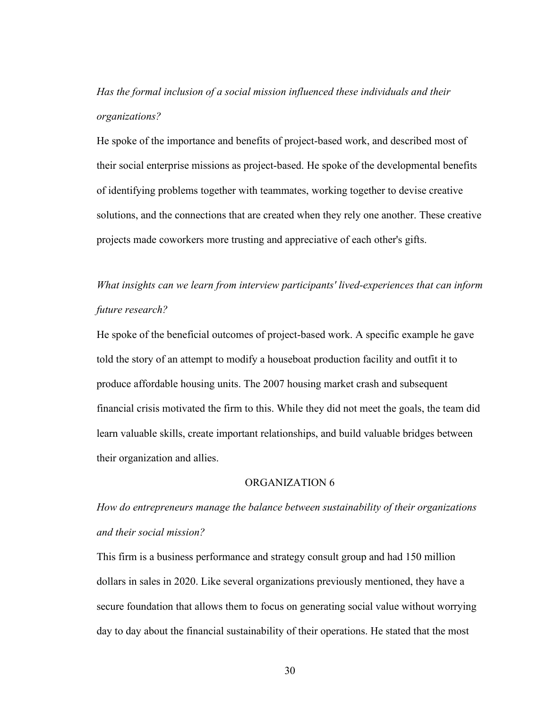*Has the formal inclusion of a social mission influenced these individuals and their organizations?*

He spoke of the importance and benefits of project-based work, and described most of their social enterprise missions as project-based. He spoke of the developmental benefits of identifying problems together with teammates, working together to devise creative solutions, and the connections that are created when they rely one another. These creative projects made coworkers more trusting and appreciative of each other's gifts.

# *What insights can we learn from interview participants' lived-experiences that can inform future research?*

He spoke of the beneficial outcomes of project-based work. A specific example he gave told the story of an attempt to modify a houseboat production facility and outfit it to produce affordable housing units. The 2007 housing market crash and subsequent financial crisis motivated the firm to this. While they did not meet the goals, the team did learn valuable skills, create important relationships, and build valuable bridges between their organization and allies.

#### ORGANIZATION 6

*How do entrepreneurs manage the balance between sustainability of their organizations and their social mission?*

This firm is a business performance and strategy consult group and had 150 million dollars in sales in 2020. Like several organizations previously mentioned, they have a secure foundation that allows them to focus on generating social value without worrying day to day about the financial sustainability of their operations. He stated that the most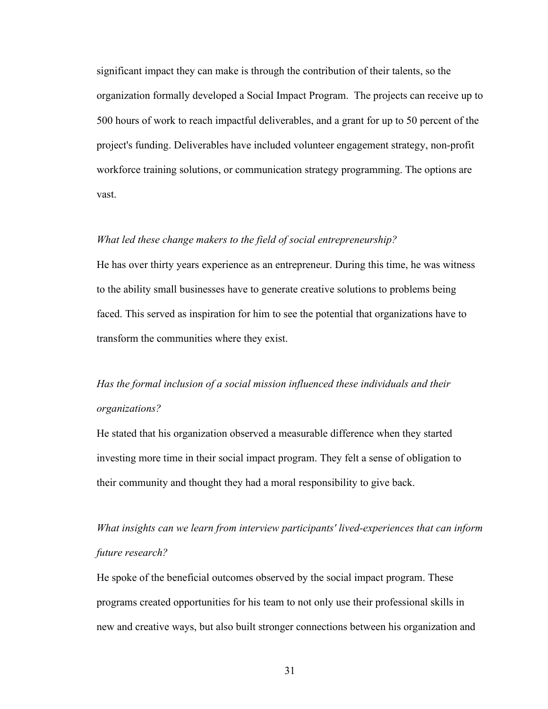significant impact they can make is through the contribution of their talents, so the organization formally developed a Social Impact Program. The projects can receive up to 500 hours of work to reach impactful deliverables, and a grant for up to 50 percent of the project's funding. Deliverables have included volunteer engagement strategy, non-profit workforce training solutions, or communication strategy programming. The options are vast.

#### *What led these change makers to the field of social entrepreneurship?*

He has over thirty years experience as an entrepreneur. During this time, he was witness to the ability small businesses have to generate creative solutions to problems being faced. This served as inspiration for him to see the potential that organizations have to transform the communities where they exist.

# *Has the formal inclusion of a social mission influenced these individuals and their organizations?*

He stated that his organization observed a measurable difference when they started investing more time in their social impact program. They felt a sense of obligation to their community and thought they had a moral responsibility to give back.

*What insights can we learn from interview participants' lived-experiences that can inform future research?*

He spoke of the beneficial outcomes observed by the social impact program. These programs created opportunities for his team to not only use their professional skills in new and creative ways, but also built stronger connections between his organization and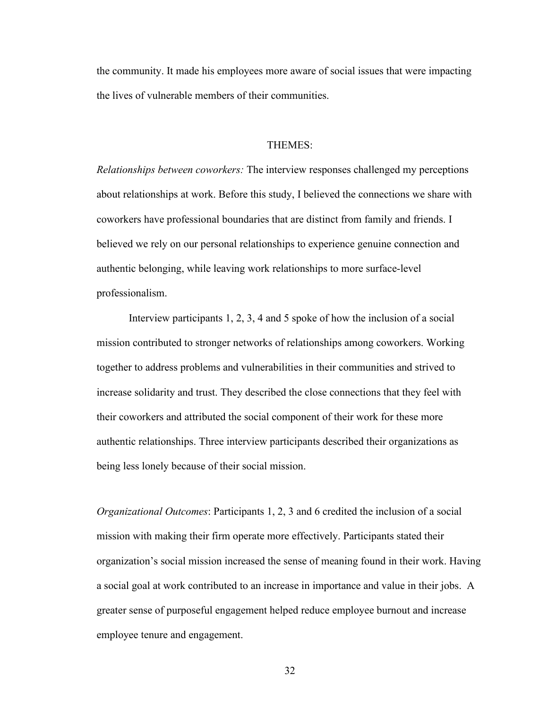the community. It made his employees more aware of social issues that were impacting the lives of vulnerable members of their communities.

#### THEMES:

*Relationships between coworkers:* The interview responses challenged my perceptions about relationships at work. Before this study, I believed the connections we share with coworkers have professional boundaries that are distinct from family and friends. I believed we rely on our personal relationships to experience genuine connection and authentic belonging, while leaving work relationships to more surface-level professionalism.

 Interview participants 1, 2, 3, 4 and 5 spoke of how the inclusion of a social mission contributed to stronger networks of relationships among coworkers. Working together to address problems and vulnerabilities in their communities and strived to increase solidarity and trust. They described the close connections that they feel with their coworkers and attributed the social component of their work for these more authentic relationships. Three interview participants described their organizations as being less lonely because of their social mission.

*Organizational Outcomes*: Participants 1, 2, 3 and 6 credited the inclusion of a social mission with making their firm operate more effectively. Participants stated their organization's social mission increased the sense of meaning found in their work. Having a social goal at work contributed to an increase in importance and value in their jobs. A greater sense of purposeful engagement helped reduce employee burnout and increase employee tenure and engagement.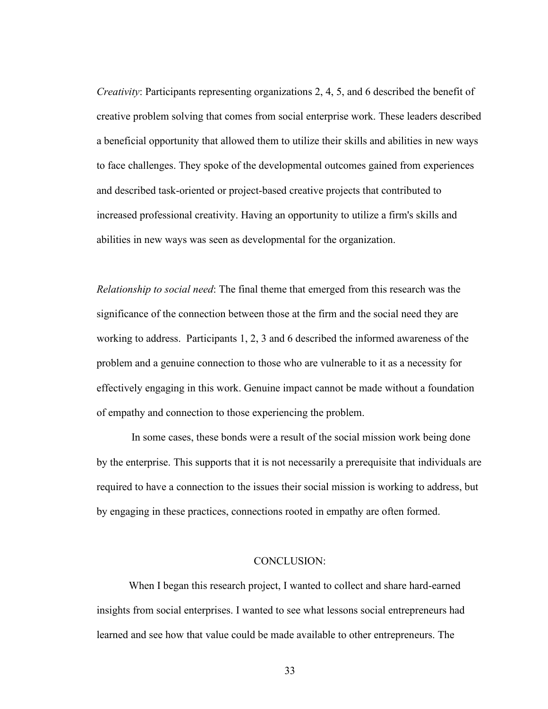*Creativity*: Participants representing organizations 2, 4, 5, and 6 described the benefit of creative problem solving that comes from social enterprise work. These leaders described a beneficial opportunity that allowed them to utilize their skills and abilities in new ways to face challenges. They spoke of the developmental outcomes gained from experiences and described task-oriented or project-based creative projects that contributed to increased professional creativity. Having an opportunity to utilize a firm's skills and abilities in new ways was seen as developmental for the organization.

*Relationship to social need*: The final theme that emerged from this research was the significance of the connection between those at the firm and the social need they are working to address. Participants 1, 2, 3 and 6 described the informed awareness of the problem and a genuine connection to those who are vulnerable to it as a necessity for effectively engaging in this work. Genuine impact cannot be made without a foundation of empathy and connection to those experiencing the problem.

 In some cases, these bonds were a result of the social mission work being done by the enterprise. This supports that it is not necessarily a prerequisite that individuals are required to have a connection to the issues their social mission is working to address, but by engaging in these practices, connections rooted in empathy are often formed.

#### CONCLUSION:

When I began this research project, I wanted to collect and share hard-earned insights from social enterprises. I wanted to see what lessons social entrepreneurs had learned and see how that value could be made available to other entrepreneurs. The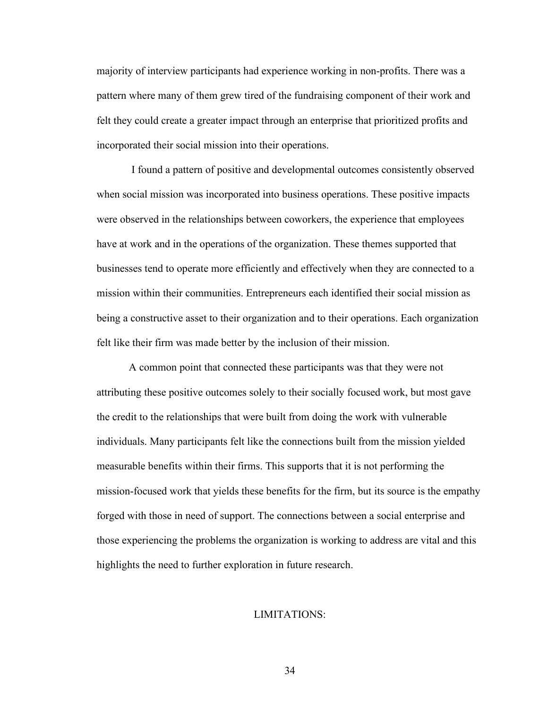majority of interview participants had experience working in non-profits. There was a pattern where many of them grew tired of the fundraising component of their work and felt they could create a greater impact through an enterprise that prioritized profits and incorporated their social mission into their operations.

 I found a pattern of positive and developmental outcomes consistently observed when social mission was incorporated into business operations. These positive impacts were observed in the relationships between coworkers, the experience that employees have at work and in the operations of the organization. These themes supported that businesses tend to operate more efficiently and effectively when they are connected to a mission within their communities. Entrepreneurs each identified their social mission as being a constructive asset to their organization and to their operations. Each organization felt like their firm was made better by the inclusion of their mission.

 A common point that connected these participants was that they were not attributing these positive outcomes solely to their socially focused work, but most gave the credit to the relationships that were built from doing the work with vulnerable individuals. Many participants felt like the connections built from the mission yielded measurable benefits within their firms. This supports that it is not performing the mission-focused work that yields these benefits for the firm, but its source is the empathy forged with those in need of support. The connections between a social enterprise and those experiencing the problems the organization is working to address are vital and this highlights the need to further exploration in future research.

#### LIMITATIONS: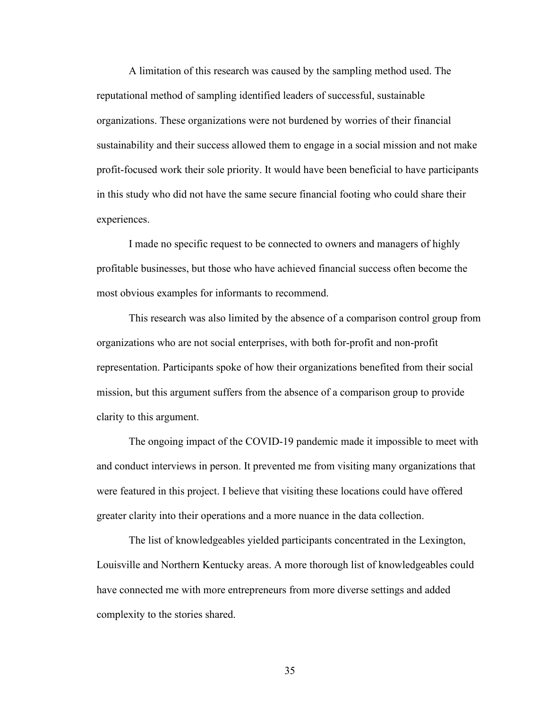A limitation of this research was caused by the sampling method used. The reputational method of sampling identified leaders of successful, sustainable organizations. These organizations were not burdened by worries of their financial sustainability and their success allowed them to engage in a social mission and not make profit-focused work their sole priority. It would have been beneficial to have participants in this study who did not have the same secure financial footing who could share their experiences.

 I made no specific request to be connected to owners and managers of highly profitable businesses, but those who have achieved financial success often become the most obvious examples for informants to recommend.

 This research was also limited by the absence of a comparison control group from organizations who are not social enterprises, with both for-profit and non-profit representation. Participants spoke of how their organizations benefited from their social mission, but this argument suffers from the absence of a comparison group to provide clarity to this argument.

 The ongoing impact of the COVID-19 pandemic made it impossible to meet with and conduct interviews in person. It prevented me from visiting many organizations that were featured in this project. I believe that visiting these locations could have offered greater clarity into their operations and a more nuance in the data collection.

 The list of knowledgeables yielded participants concentrated in the Lexington, Louisville and Northern Kentucky areas. A more thorough list of knowledgeables could have connected me with more entrepreneurs from more diverse settings and added complexity to the stories shared.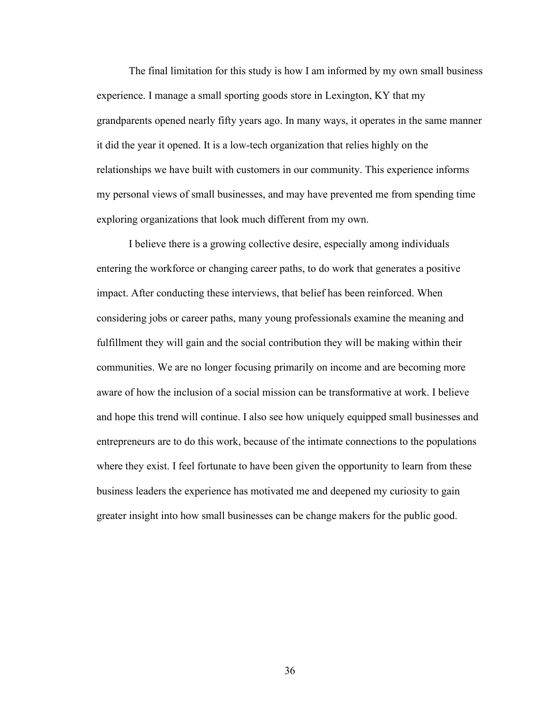The final limitation for this study is how I am informed by my own small business experience. I manage a small sporting goods store in Lexington, KY that my grandparents opened nearly fifty years ago. In many ways, it operates in the same manner it did the year it opened. It is a low-tech organization that relies highly on the relationships we have built with customers in our community. This experience informs my personal views of small businesses, and may have prevented me from spending time exploring organizations that look much different from my own.

I believe there is a growing collective desire, especially among individuals entering the workforce or changing career paths, to do work that generates a positive impact. After conducting these interviews, that belief has been reinforced. When considering jobs or career paths, many young professionals examine the meaning and fulfillment they will gain and the social contribution they will be making within their communities. We are no longer focusing primarily on income and are becoming more aware of how the inclusion of a social mission can be transformative at work. I believe and hope this trend will continue. I also see how uniquely equipped small businesses and entrepreneurs are to do this work, because of the intimate connections to the populations where they exist. I feel fortunate to have been given the opportunity to learn from these business leaders the experience has motivated me and deepened my curiosity to gain greater insight into how small businesses can be change makers for the public good.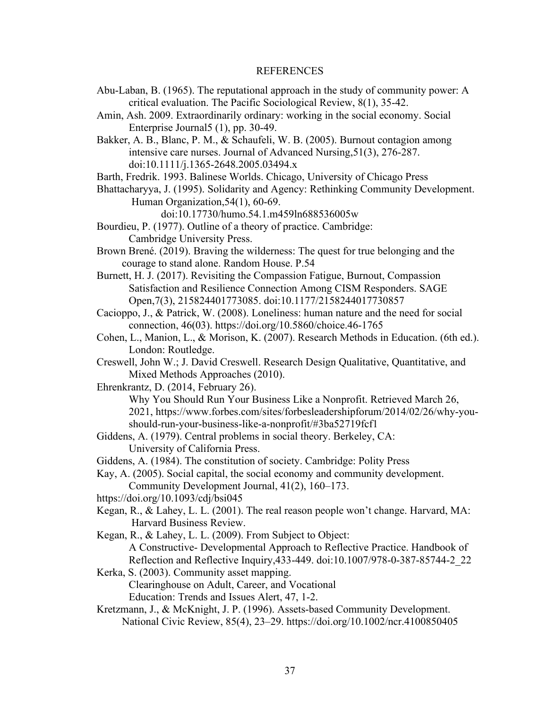#### REFERENCES

- Abu-Laban, B. (1965). The reputational approach in the study of community power: A critical evaluation. The Pacific Sociological Review, 8(1), 35-42.
- Amin, Ash. 2009. Extraordinarily ordinary: working in the social economy. Social Enterprise Journal5 (1), pp. 30-49.

Bakker, A. B., Blanc, P. M., & Schaufeli, W. B. (2005). Burnout contagion among intensive care nurses. Journal of Advanced Nursing,51(3), 276-287. doi:10.1111/j.1365-2648.2005.03494.x

- Barth, Fredrik. 1993. Balinese Worlds. Chicago, University of Chicago Press
- Bhattacharyya, J. (1995). Solidarity and Agency: Rethinking Community Development. Human Organization,54(1), 60-69.

doi:10.17730/humo.54.1.m459ln688536005w

- Bourdieu, P. (1977). Outline of a theory of practice. Cambridge: Cambridge University Press.
- Brown Brené. (2019). Braving the wilderness: The quest for true belonging and the courage to stand alone. Random House. P.54
- Burnett, H. J. (2017). Revisiting the Compassion Fatigue, Burnout, Compassion Satisfaction and Resilience Connection Among CISM Responders. SAGE Open,7(3), 215824401773085. doi:10.1177/2158244017730857
- Cacioppo, J., & Patrick, W. (2008). Loneliness: human nature and the need for social connection, 46(03).<https://doi.org/10.5860/choice.46-1765>
- Cohen, L., Manion, L., & Morison, K. (2007). Research Methods in Education. (6th ed.). London: Routledge.
- Creswell, John W.; J. David Creswell. Research Design Qualitative, Quantitative, and Mixed Methods Approaches (2010).
- Ehrenkrantz, D. (2014, February 26).
	- Why You Should Run Your Business Like a Nonprofit. Retrieved March 26, 2021, [https://www.forbes.com/sites/forbesleadershipforum/2014/02/26/why-you](https://www.forbes.com/sites/forbesleadershipforum/2014/02/26/why-you-should-)[should-r](https://www.forbes.com/sites/forbesleadershipforum/2014/02/26/why-you-should-)un-your-business-like-a-nonprofit/#3ba52719fcf1
- Giddens, A. (1979). Central problems in social theory. Berkeley, CA: University of California Press.

Giddens, A. (1984). The constitution of society. Cambridge: Polity Press

- Kay, A. (2005). Social capital, the social economy and community development.
- Community Development Journal, 41(2), 160–173.
- https://doi.org/10.1093/cdj/bsi045
- Kegan, R., & Lahey, L. L. (2001). The real reason people won't change. Harvard, MA: Harvard Business Review.
- Kegan, R., & Lahey, L. L. (2009). From Subject to Object: A Constructive- Developmental Approach to Reflective Practice. Handbook of Reflection and Reflective Inquiry,433-449. doi:10.1007/978-0-387-85744-2\_22
- Kerka, S. (2003). Community asset mapping. Clearinghouse on Adult, Career, and Vocational Education: Trends and Issues Alert, 47, 1-2.
- Kretzmann, J., & McKnight, J. P. (1996). Assets-based Community Development. National Civic Review, 85(4), 23–29. https://doi.org/10.1002/ncr.4100850405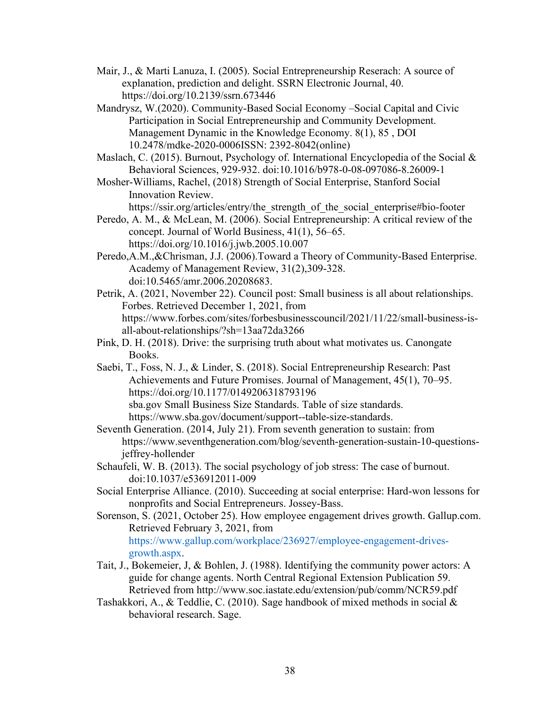- Mair, J., & Marti Lanuza, I. (2005). Social Entrepreneurship Reserach: A source of explanation, prediction and delight. SSRN Electronic Journal, 40. https://doi.org/10.2139/ssrn.673446
- Mandrysz, W.(2020). Community-Based Social Economy –Social Capital and Civic Participation in Social Entrepreneurship and Community Development. Management Dynamic in the Knowledge Economy. 8(1), 85 , DOI 10.2478/mdke-2020-0006ISSN: 2392-8042(online)
- Maslach, C. (2015). Burnout, Psychology of. International Encyclopedia of the Social & Behavioral Sciences, 929-932. doi:10.1016/b978-0-08-097086-8.26009-1
- Mosher-Williams, Rachel, (2018) Strength of Social Enterprise, Stanford Social Innovation Review.

[https://ssir.org/articles/entry/the\\_strength\\_of\\_the\\_social\\_enterprise#bio-footer](https://ssir.org/articles/entry/the_strength_of_the_social_enterprise#bio-footer)

- Peredo, A. M., & McLean, M. (2006). Social Entrepreneurship: A critical review of the concept. Journal of World Business, 41(1), 56–65. <https://doi.org/10.1016/j.jwb.2005.10.007>
- Peredo,A.M.,&Chrisman, J.J. (2006).Toward a Theory of Community-Based Enterprise. Academy of Management Review, 31(2),309-328. doi:10.5465/amr.2006.20208683.
- Petrik, A. (2021, November 22). Council post: Small business is all about relationships. Forbes. Retrieved December 1, 2021, from https://www.forbes.com/sites/forbesbusinesscouncil/2021/11/22/small-business-isall-about-relationships/?sh=13aa72da3266
- Pink, D. H. (2018). Drive: the surprising truth about what motivates us. Canongate Books.
- Saebi, T., Foss, N. J., & Linder, S. (2018). Social Entrepreneurship Research: Past Achievements and Future Promises. Journal of Management, 45(1), 70–95. <https://doi.org/10.1177/0149206318793196> sba.gov Small Business Size Standards. Table of size standards. [https://www.sba.gov/document/support--table-size-standards.](https://www.sba.gov/document/support--table-size-standards)
- Seventh Generation. (2014, July 21). From seventh generation to sustain: from https://www.seventhgeneration.com/blog/seventh-generation-sustain-10-questionsjeffrey-hollender
- Schaufeli, W. B. (2013). The social psychology of job stress: The case of burnout. doi:10.1037/e536912011-009
- Social Enterprise Alliance. (2010). Succeeding at social enterprise: Hard-won lessons for nonprofits and Social Entrepreneurs. Jossey-Bass.
- Sorenson, S. (2021, October 25). How employee engagement drives growth. Gallup.com. Retrieved February 3, 2021, from [https://www.gallup.com/workplace/236927/employee-engagement-drives](https://www.gallup.com/workplace/236927/employee-engagement-drives-%09growth.aspx)[growth.aspx.](https://www.gallup.com/workplace/236927/employee-engagement-drives-%09growth.aspx)
- Tait, J., Bokemeier, J, & Bohlen, J. (1988). Identifying the community power actors: A guide for change agents. North Central Regional Extension Publication 59. Retrieved from http://www.soc.iastate.edu/extension/pub/comm/NCR59.pdf
- Tashakkori, A., & Teddlie, C. (2010). Sage handbook of mixed methods in social & behavioral research. Sage.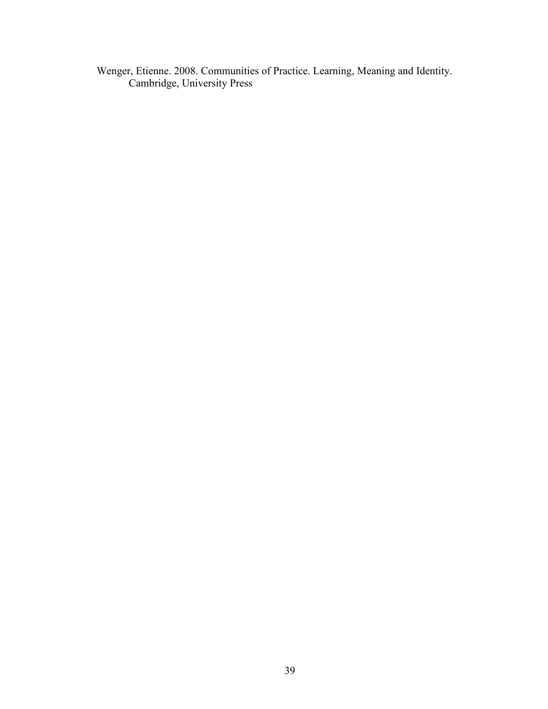Wenger, Etienne. 2008. Communities of Practice. Learning, Meaning and Identity. Cambridge, University Press